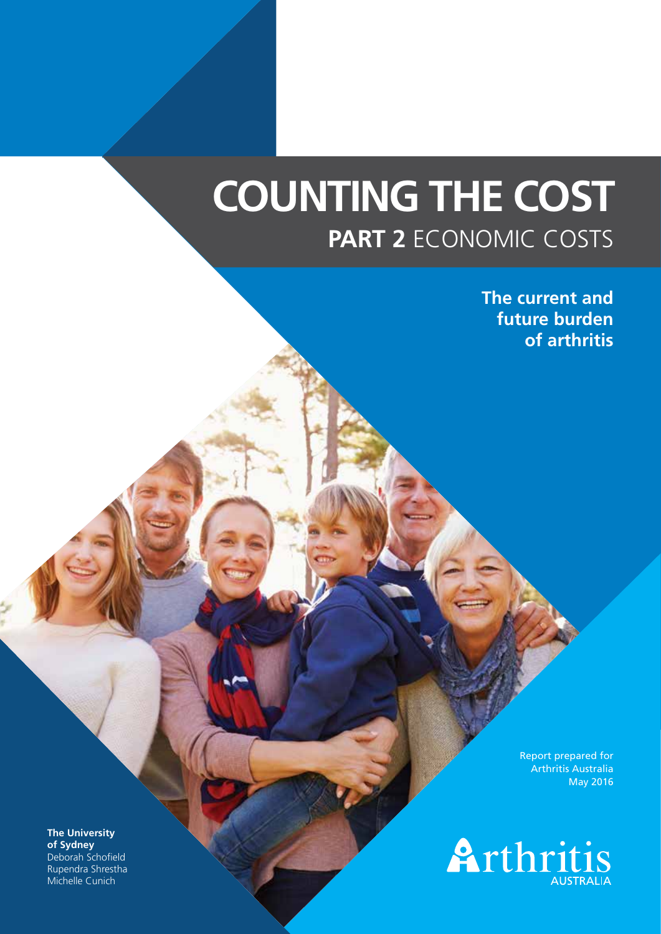# **COUNTING THE COST PART 2** ECONOMIC COSTS

**The current and future burden of arthritis**

> Report prepared for Arthritis Australia May 2016



**The University of Sydney** Deborah Schofield Rupendra Shrestha Michelle Cunich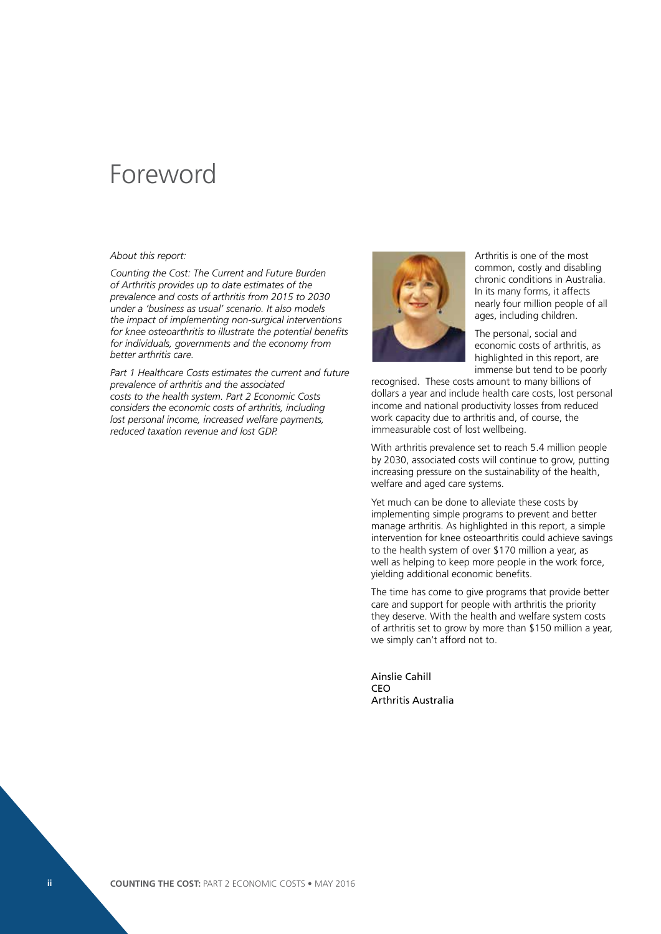### Foreword

#### *About this report:*

*Counting the Cost: The Current and Future Burden of Arthritis provides up to date estimates of the prevalence and costs of arthritis from 2015 to 2030 under a 'business as usual' scenario. It also models the impact of implementing non-surgical interventions for knee osteoarthritis to illustrate the potential benefits for individuals, governments and the economy from better arthritis care.*

*Part 1 Healthcare Costs estimates the current and future prevalence of arthritis and the associated costs to the health system. Part 2 Economic Costs considers the economic costs of arthritis, including lost personal income, increased welfare payments, reduced taxation revenue and lost GDP.* 



Arthritis is one of the most common, costly and disabling chronic conditions in Australia. In its many forms, it affects nearly four million people of all ages, including children.

The personal, social and economic costs of arthritis, as highlighted in this report, are immense but tend to be poorly

recognised. These costs amount to many billions of dollars a year and include health care costs, lost personal income and national productivity losses from reduced work capacity due to arthritis and, of course, the immeasurable cost of lost wellbeing.

With arthritis prevalence set to reach 5.4 million people by 2030, associated costs will continue to grow, putting increasing pressure on the sustainability of the health, welfare and aged care systems.

Yet much can be done to alleviate these costs by implementing simple programs to prevent and better manage arthritis. As highlighted in this report, a simple intervention for knee osteoarthritis could achieve savings to the health system of over \$170 million a year, as well as helping to keep more people in the work force, yielding additional economic benefits.

The time has come to give programs that provide better care and support for people with arthritis the priority they deserve. With the health and welfare system costs of arthritis set to grow by more than \$150 million a year, we simply can't afford not to.

Ainslie Cahill **CEO** Arthritis Australia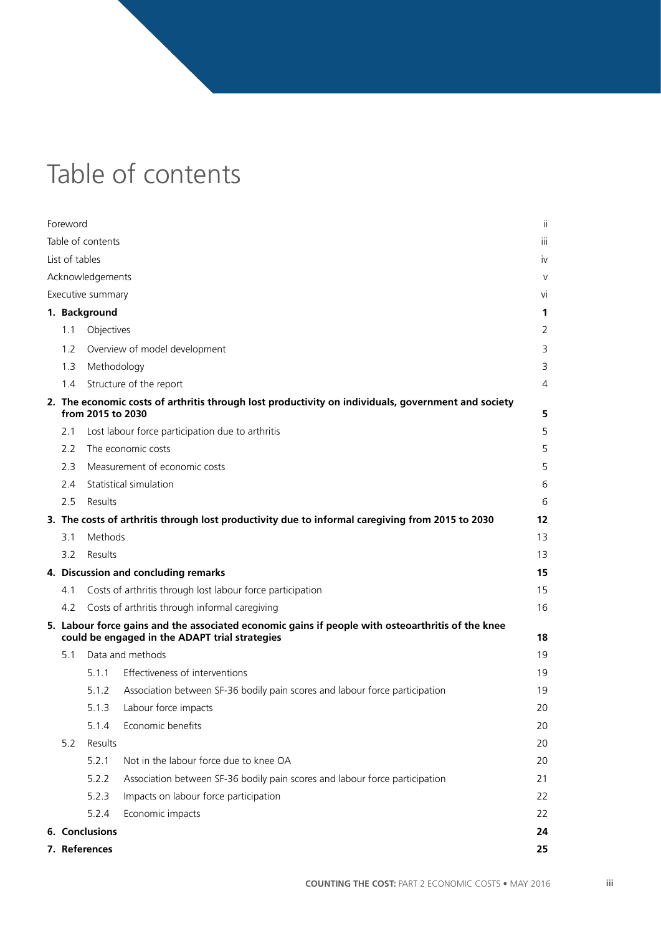# Table of contents

| Foreword       |                   |                                                                                                                                                     | ji     |
|----------------|-------------------|-----------------------------------------------------------------------------------------------------------------------------------------------------|--------|
|                | Table of contents |                                                                                                                                                     | iii    |
| List of tables |                   |                                                                                                                                                     | iv     |
|                | Acknowledgements  |                                                                                                                                                     | $\vee$ |
|                | Executive summary |                                                                                                                                                     | vi     |
|                | 1. Background     |                                                                                                                                                     | 1      |
| 1.1            | Objectives        |                                                                                                                                                     | 2      |
| 1.2            |                   | Overview of model development                                                                                                                       | 3      |
| 1.3            | Methodology       |                                                                                                                                                     | 3      |
| 1.4            |                   | Structure of the report                                                                                                                             | 4      |
|                | from 2015 to 2030 | 2. The economic costs of arthritis through lost productivity on individuals, government and society                                                 | 5      |
| 2.1            |                   | Lost labour force participation due to arthritis                                                                                                    | 5      |
| 2.2            |                   | The economic costs                                                                                                                                  | 5      |
| 2.3            |                   | Measurement of economic costs                                                                                                                       | 5      |
| 2.4            |                   | Statistical simulation                                                                                                                              | 6      |
| 2.5            | Results           |                                                                                                                                                     | 6      |
|                |                   | 3. The costs of arthritis through lost productivity due to informal caregiving from 2015 to 2030                                                    | 12     |
| 3.1            | Methods           |                                                                                                                                                     | 13     |
| 3.2            | Results           |                                                                                                                                                     | 13     |
|                |                   | 4. Discussion and concluding remarks                                                                                                                | 15     |
| 4.1            |                   | Costs of arthritis through lost labour force participation                                                                                          | 15     |
| 4.2            |                   | Costs of arthritis through informal caregiving                                                                                                      | 16     |
|                |                   | 5. Labour force gains and the associated economic gains if people with osteoarthritis of the knee<br>could be engaged in the ADAPT trial strategies | 18     |
| 5.1            |                   | Data and methods                                                                                                                                    | 19     |
|                | 511               | Effectiveness of interventions                                                                                                                      | 19     |
|                | 5.1.2             | Association between SF-36 bodily pain scores and labour force participation                                                                         | 19     |
|                | 5.1.3             | Labour force impacts                                                                                                                                | 20     |
|                | 5.1.4             | Economic benefits                                                                                                                                   | 20     |
| 5.2            | Results           |                                                                                                                                                     | 20     |
|                | 5.2.1             | Not in the labour force due to knee OA                                                                                                              | 20     |
|                | 5.2.2             | Association between SF-36 bodily pain scores and labour force participation                                                                         | 21     |
|                | 5.2.3             | Impacts on labour force participation                                                                                                               | 22     |
|                | 5.2.4             | Economic impacts                                                                                                                                    | 22     |
|                | 6. Conclusions    |                                                                                                                                                     | 24     |
|                | 7. References     |                                                                                                                                                     | 25     |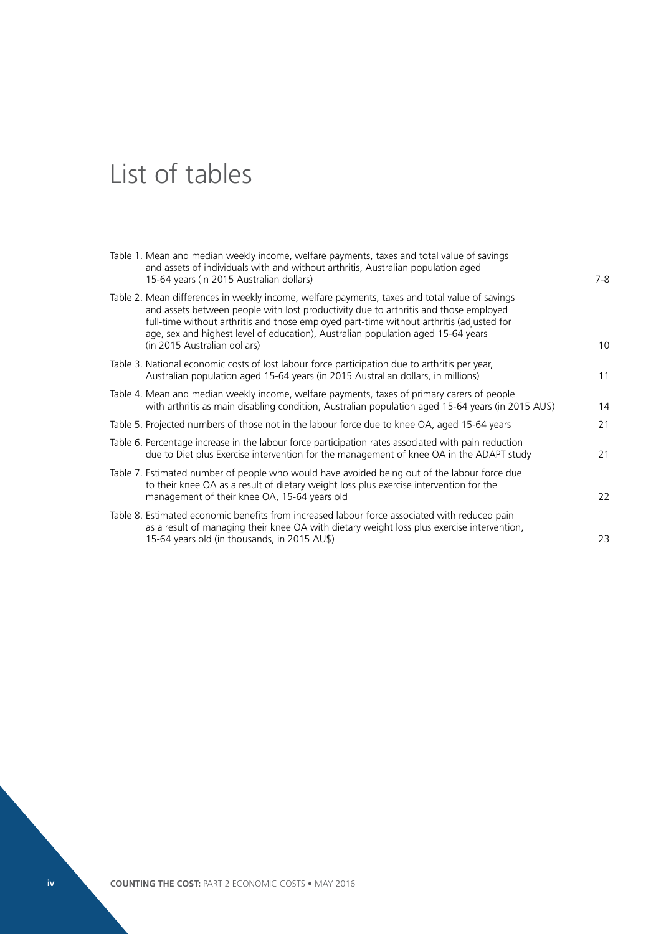# List of tables

| Table 1. Mean and median weekly income, welfare payments, taxes and total value of savings<br>and assets of individuals with and without arthritis, Australian population aged<br>15-64 years (in 2015 Australian dollars)                                                                                                                                                                             | 7-8            |
|--------------------------------------------------------------------------------------------------------------------------------------------------------------------------------------------------------------------------------------------------------------------------------------------------------------------------------------------------------------------------------------------------------|----------------|
| Table 2. Mean differences in weekly income, welfare payments, taxes and total value of savings<br>and assets between people with lost productivity due to arthritis and those employed<br>full-time without arthritis and those employed part-time without arthritis (adjusted for<br>age, sex and highest level of education), Australian population aged 15-64 years<br>(in 2015 Australian dollars) | 1 <sup>C</sup> |
| Table 3. National economic costs of lost labour force participation due to arthritis per year,<br>Australian population aged 15-64 years (in 2015 Australian dollars, in millions)                                                                                                                                                                                                                     | 11             |
| Table 4. Mean and median weekly income, welfare payments, taxes of primary carers of people<br>with arthritis as main disabling condition, Australian population aged 15-64 years (in 2015 AU\$)                                                                                                                                                                                                       | 14             |
| Table 5. Projected numbers of those not in the labour force due to knee OA, aged 15-64 years                                                                                                                                                                                                                                                                                                           | 21             |
| Table 6. Percentage increase in the labour force participation rates associated with pain reduction<br>due to Diet plus Exercise intervention for the management of knee OA in the ADAPT study                                                                                                                                                                                                         | 21             |
| Table 7. Estimated number of people who would have avoided being out of the labour force due<br>to their knee OA as a result of dietary weight loss plus exercise intervention for the<br>management of their knee OA, 15-64 years old                                                                                                                                                                 | 22             |
| Table 8. Estimated economic benefits from increased labour force associated with reduced pain<br>as a result of managing their knee OA with dietary weight loss plus exercise intervention,<br>15-64 years old (in thousands, in 2015 AU\$)                                                                                                                                                            | 23             |
|                                                                                                                                                                                                                                                                                                                                                                                                        |                |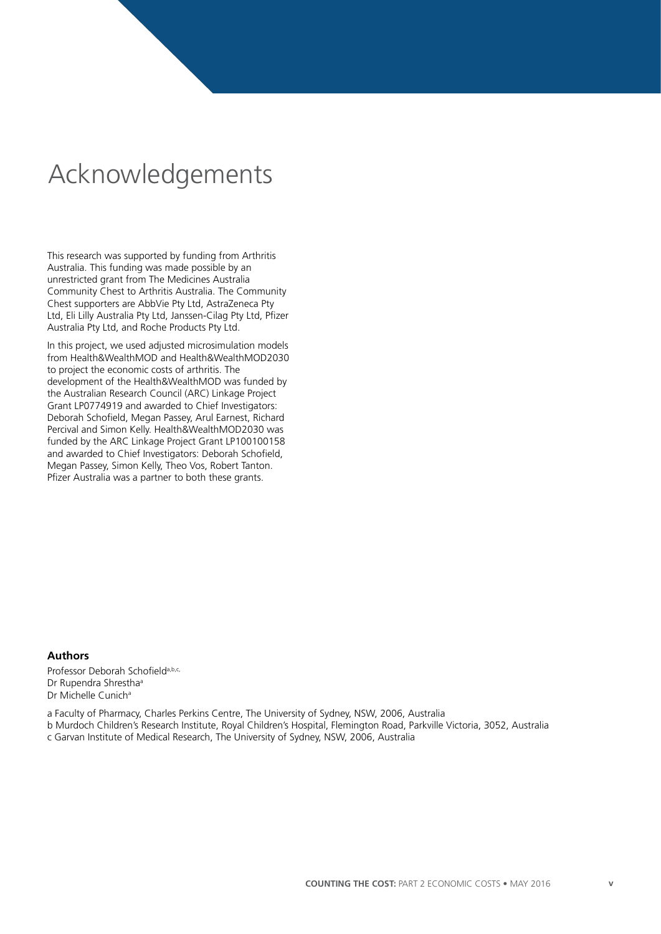## Acknowledgements

This research was supported by funding from Arthritis Australia. This funding was made possible by an unrestricted grant from The Medicines Australia Community Chest to Arthritis Australia. The Community Chest supporters are AbbVie Pty Ltd, AstraZeneca Pty Ltd, Eli Lilly Australia Pty Ltd, Janssen-Cilag Pty Ltd, Pfizer Australia Pty Ltd, and Roche Products Pty Ltd.

In this project, we used adjusted microsimulation models from Health&WealthMOD and Health&WealthMOD2030 to project the economic costs of arthritis. The development of the Health&WealthMOD was funded by the Australian Research Council (ARC) Linkage Project Grant LP0774919 and awarded to Chief Investigators: Deborah Schofield, Megan Passey, Arul Earnest, Richard Percival and Simon Kelly. Health&WealthMOD2030 was funded by the ARC Linkage Project Grant LP100100158 and awarded to Chief Investigators: Deborah Schofield, Megan Passey, Simon Kelly, Theo Vos, Robert Tanton. Pfizer Australia was a partner to both these grants.

### **Authors**

Professor Deborah Schofield<sup>a, b,c,</sup> Dr Rupendra Shrestha<sup>a</sup> Dr Michelle Cunich<sup>a</sup>

a Faculty of Pharmacy, Charles Perkins Centre, The University of Sydney, NSW, 2006, Australia b Murdoch Children's Research Institute, Royal Children's Hospital, Flemington Road, Parkville Victoria, 3052, Australia

c Garvan Institute of Medical Research, The University of Sydney, NSW, 2006, Australia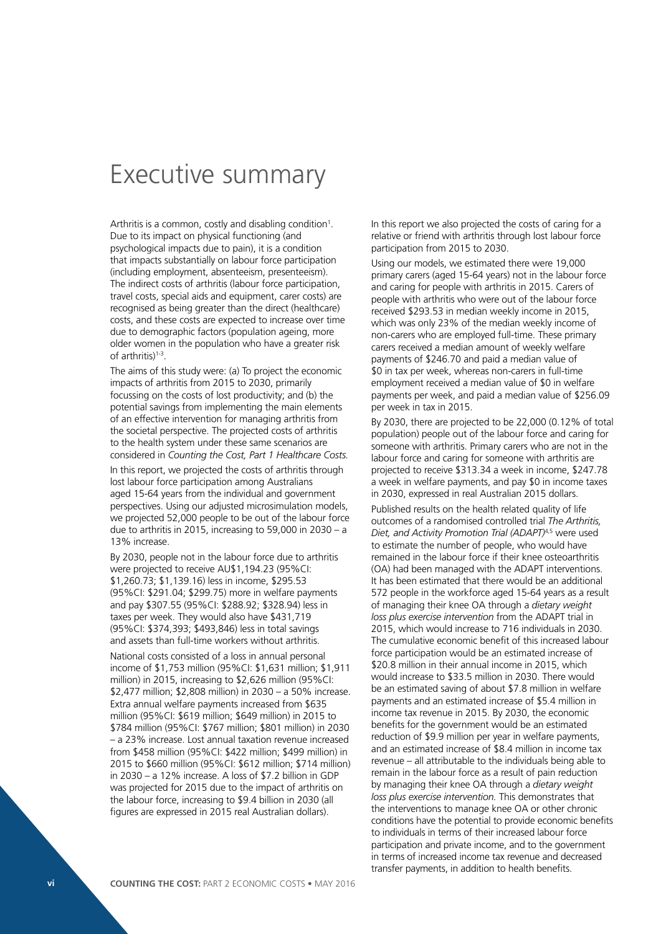### Executive summary

Arthritis is a common, costly and disabling condition<sup>1</sup>. Due to its impact on physical functioning (and psychological impacts due to pain), it is a condition that impacts substantially on labour force participation (including employment, absenteeism, presenteeism). The indirect costs of arthritis (labour force participation, travel costs, special aids and equipment, carer costs) are recognised as being greater than the direct (healthcare) costs, and these costs are expected to increase over time due to demographic factors (population ageing, more older women in the population who have a greater risk of arthritis)1-3.

The aims of this study were: (a) To project the economic impacts of arthritis from 2015 to 2030, primarily focussing on the costs of lost productivity; and (b) the potential savings from implementing the main elements of an effective intervention for managing arthritis from the societal perspective. The projected costs of arthritis to the health system under these same scenarios are considered in *Counting the Cost, Part 1 Healthcare Costs.*

In this report, we projected the costs of arthritis through lost labour force participation among Australians aged 15-64 years from the individual and government perspectives. Using our adjusted microsimulation models, we projected 52,000 people to be out of the labour force due to arthritis in 2015, increasing to 59,000 in 2030 – a 13% increase.

By 2030, people not in the labour force due to arthritis were projected to receive AU\$1,194.23 (95%CI: \$1,260.73; \$1,139.16) less in income, \$295.53 (95%CI: \$291.04; \$299.75) more in welfare payments and pay \$307.55 (95%CI: \$288.92; \$328.94) less in taxes per week. They would also have \$431,719 (95%CI: \$374,393; \$493,846) less in total savings and assets than full-time workers without arthritis.

National costs consisted of a loss in annual personal income of \$1,753 million (95%CI: \$1,631 million; \$1,911 million) in 2015, increasing to \$2,626 million (95%CI: \$2,477 million; \$2,808 million) in 2030 – a 50% increase. Extra annual welfare payments increased from \$635 million (95%CI: \$619 million; \$649 million) in 2015 to \$784 million (95%CI: \$767 million; \$801 million) in 2030 – a 23% increase. Lost annual taxation revenue increased from \$458 million (95%CI: \$422 million; \$499 million) in 2015 to \$660 million (95%CI: \$612 million; \$714 million) in 2030 – a 12% increase. A loss of \$7.2 billion in GDP was projected for 2015 due to the impact of arthritis on the labour force, increasing to \$9.4 billion in 2030 (all figures are expressed in 2015 real Australian dollars).

In this report we also projected the costs of caring for a relative or friend with arthritis through lost labour force participation from 2015 to 2030.

Using our models, we estimated there were 19,000 primary carers (aged 15-64 years) not in the labour force and caring for people with arthritis in 2015. Carers of people with arthritis who were out of the labour force received \$293.53 in median weekly income in 2015, which was only 23% of the median weekly income of non-carers who are employed full-time. These primary carers received a median amount of weekly welfare payments of \$246.70 and paid a median value of \$0 in tax per week, whereas non-carers in full-time employment received a median value of \$0 in welfare payments per week, and paid a median value of \$256.09 per week in tax in 2015.

By 2030, there are projected to be 22,000 (0.12% of total population) people out of the labour force and caring for someone with arthritis. Primary carers who are not in the labour force and caring for someone with arthritis are projected to receive \$313.34 a week in income, \$247.78 a week in welfare payments, and pay \$0 in income taxes in 2030, expressed in real Australian 2015 dollars.

Published results on the health related quality of life outcomes of a randomised controlled trial *The Arthritis, Diet, and Activity Promotion Trial (ADAPT)*4,5 were used to estimate the number of people, who would have remained in the labour force if their knee osteoarthritis (OA) had been managed with the ADAPT interventions. It has been estimated that there would be an additional 572 people in the workforce aged 15-64 years as a result of managing their knee OA through a *dietary weight loss plus exercise intervention* from the ADAPT trial in 2015, which would increase to 716 individuals in 2030. The cumulative economic benefit of this increased labour force participation would be an estimated increase of \$20.8 million in their annual income in 2015, which would increase to \$33.5 million in 2030. There would be an estimated saving of about \$7.8 million in welfare payments and an estimated increase of \$5.4 million in income tax revenue in 2015. By 2030, the economic benefits for the government would be an estimated reduction of \$9.9 million per year in welfare payments, and an estimated increase of \$8.4 million in income tax revenue – all attributable to the individuals being able to remain in the labour force as a result of pain reduction by managing their knee OA through a *dietary weight loss plus exercise intervention.* This demonstrates that the interventions to manage knee OA or other chronic conditions have the potential to provide economic benefits to individuals in terms of their increased labour force participation and private income, and to the government in terms of increased income tax revenue and decreased transfer payments, in addition to health benefits.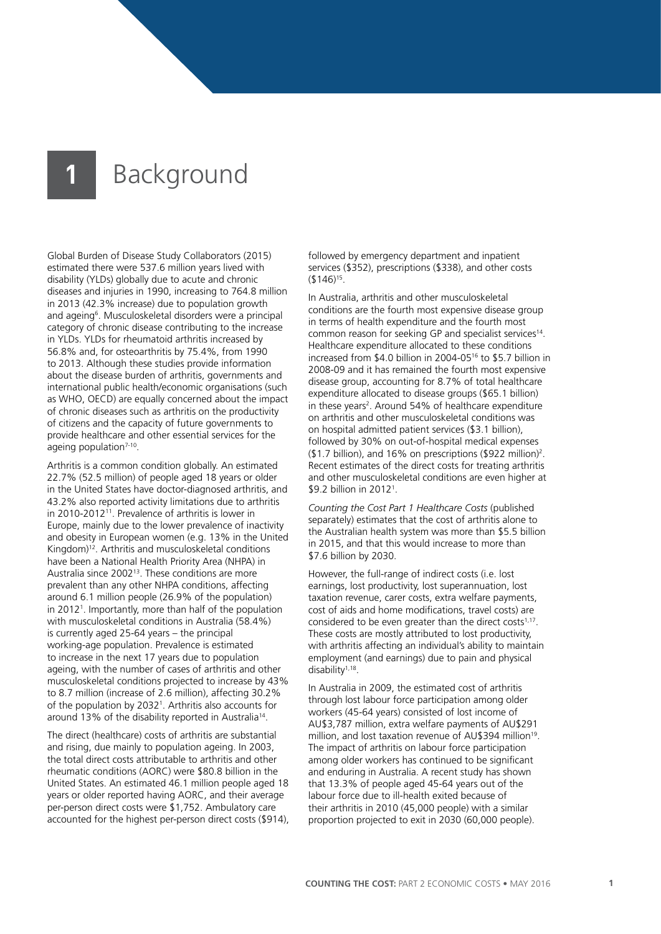Global Burden of Disease Study Collaborators (2015) estimated there were 537.6 million years lived with disability (YLDs) globally due to acute and chronic diseases and injuries in 1990, increasing to 764.8 million in 2013 (42.3% increase) due to population growth and ageing<sup>6</sup>. Musculoskeletal disorders were a principal category of chronic disease contributing to the increase in YLDs. YLDs for rheumatoid arthritis increased by 56.8% and, for osteoarthritis by 75.4%, from 1990 to 2013. Although these studies provide information about the disease burden of arthritis, governments and international public health/economic organisations (such as WHO, OECD) are equally concerned about the impact of chronic diseases such as arthritis on the productivity of citizens and the capacity of future governments to provide healthcare and other essential services for the ageing population<sup>7-10</sup>.

Arthritis is a common condition globally. An estimated 22.7% (52.5 million) of people aged 18 years or older in the United States have doctor-diagnosed arthritis, and 43.2% also reported activity limitations due to arthritis in 2010-2012<sup>11</sup>. Prevalence of arthritis is lower in Europe, mainly due to the lower prevalence of inactivity and obesity in European women (e.g. 13% in the United Kingdom)12. Arthritis and musculoskeletal conditions have been a National Health Priority Area (NHPA) in Australia since 2002<sup>13</sup>. These conditions are more prevalent than any other NHPA conditions, affecting around 6.1 million people (26.9% of the population) in 20121 . Importantly, more than half of the population with musculoskeletal conditions in Australia (58.4%) is currently aged 25-64 years – the principal working-age population. Prevalence is estimated to increase in the next 17 years due to population ageing, with the number of cases of arthritis and other musculoskeletal conditions projected to increase by 43% to 8.7 million (increase of 2.6 million), affecting 30.2% of the population by 20321 . Arthritis also accounts for around 13% of the disability reported in Australia<sup>14</sup>.

The direct (healthcare) costs of arthritis are substantial and rising, due mainly to population ageing. In 2003, the total direct costs attributable to arthritis and other rheumatic conditions (AORC) were \$80.8 billion in the United States. An estimated 46.1 million people aged 18 years or older reported having AORC, and their average per-person direct costs were \$1,752. Ambulatory care accounted for the highest per-person direct costs (\$914), followed by emergency department and inpatient services (\$352), prescriptions (\$338), and other costs (\$146)15.

In Australia, arthritis and other musculoskeletal conditions are the fourth most expensive disease group in terms of health expenditure and the fourth most common reason for seeking GP and specialist services14. Healthcare expenditure allocated to these conditions increased from \$4.0 billion in 2004-0516 to \$5.7 billion in 2008-09 and it has remained the fourth most expensive disease group, accounting for 8.7% of total healthcare expenditure allocated to disease groups (\$65.1 billion) in these years<sup>2</sup>. Around 54% of healthcare expenditure on arthritis and other musculoskeletal conditions was on hospital admitted patient services (\$3.1 billion), followed by 30% on out-of-hospital medical expenses (\$1.7 billion), and 16% on prescriptions (\$922 million)2 . Recent estimates of the direct costs for treating arthritis and other musculoskeletal conditions are even higher at \$9.2 billion in 20121 .

*Counting the Cost Part 1 Healthcare Costs* (published separately) estimates that the cost of arthritis alone to the Australian health system was more than \$5.5 billion in 2015, and that this would increase to more than \$7.6 billion by 2030.

However, the full-range of indirect costs (i.e. lost earnings, lost productivity, lost superannuation, lost taxation revenue, carer costs, extra welfare payments, cost of aids and home modifications, travel costs) are considered to be even greater than the direct costs<sup>1,17</sup>. These costs are mostly attributed to lost productivity, with arthritis affecting an individual's ability to maintain employment (and earnings) due to pain and physical disability1,18.

In Australia in 2009, the estimated cost of arthritis through lost labour force participation among older workers (45-64 years) consisted of lost income of AU\$3,787 million, extra welfare payments of AU\$291 million, and lost taxation revenue of AU\$394 million<sup>19</sup>. The impact of arthritis on labour force participation among older workers has continued to be significant and enduring in Australia. A recent study has shown that 13.3% of people aged 45-64 years out of the labour force due to ill-health exited because of their arthritis in 2010 (45,000 people) with a similar proportion projected to exit in 2030 (60,000 people).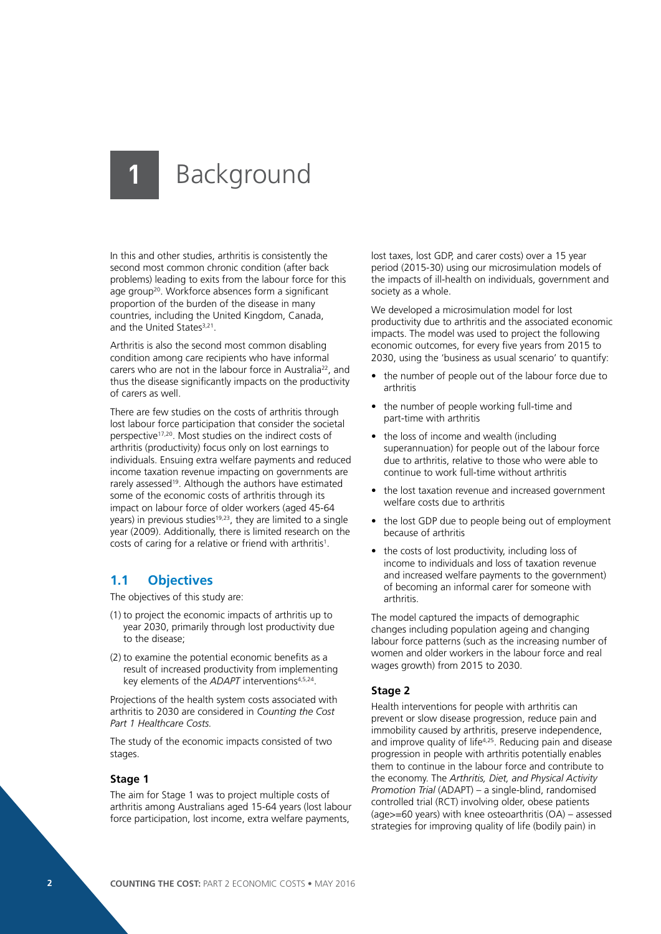In this and other studies, arthritis is consistently the second most common chronic condition (after back problems) leading to exits from the labour force for this age group<sup>20</sup>. Workforce absences form a significant proportion of the burden of the disease in many countries, including the United Kingdom, Canada, and the United States<sup>3,21</sup>.

Arthritis is also the second most common disabling condition among care recipients who have informal carers who are not in the labour force in Australia<sup>22</sup>, and thus the disease significantly impacts on the productivity of carers as well.

There are few studies on the costs of arthritis through lost labour force participation that consider the societal perspective17,20. Most studies on the indirect costs of arthritis (productivity) focus only on lost earnings to individuals. Ensuing extra welfare payments and reduced income taxation revenue impacting on governments are rarely assessed<sup>19</sup>. Although the authors have estimated some of the economic costs of arthritis through its impact on labour force of older workers (aged 45-64 years) in previous studies<sup>19,23</sup>, they are limited to a single year (2009). Additionally, there is limited research on the costs of caring for a relative or friend with arthritis<sup>1</sup>.

### **1.1 Objectives**

The objectives of this study are:

- (1) to project the economic impacts of arthritis up to year 2030, primarily through lost productivity due to the disease;
- (2) to examine the potential economic benefits as a result of increased productivity from implementing key elements of the *ADAPT* interventions4,5,24.

Projections of the health system costs associated with arthritis to 2030 are considered in *Counting the Cost Part 1 Healthcare Costs.*

The study of the economic impacts consisted of two stages.

#### **Stage 1**

The aim for Stage 1 was to project multiple costs of arthritis among Australians aged 15-64 years (lost labour force participation, lost income, extra welfare payments,

lost taxes, lost GDP, and carer costs) over a 15 year period (2015-30) using our microsimulation models of the impacts of ill-health on individuals, government and society as a whole.

We developed a microsimulation model for lost productivity due to arthritis and the associated economic impacts. The model was used to project the following economic outcomes, for every five years from 2015 to 2030, using the 'business as usual scenario' to quantify:

- the number of people out of the labour force due to arthritis
- the number of people working full-time and part-time with arthritis
- the loss of income and wealth (including superannuation) for people out of the labour force due to arthritis, relative to those who were able to continue to work full-time without arthritis
- the lost taxation revenue and increased government welfare costs due to arthritis
- the lost GDP due to people being out of employment because of arthritis
- the costs of lost productivity, including loss of income to individuals and loss of taxation revenue and increased welfare payments to the government) of becoming an informal carer for someone with arthritis.

The model captured the impacts of demographic changes including population ageing and changing labour force patterns (such as the increasing number of women and older workers in the labour force and real wages growth) from 2015 to 2030.

#### **Stage 2**

Health interventions for people with arthritis can prevent or slow disease progression, reduce pain and immobility caused by arthritis, preserve independence, and improve quality of life<sup>4,25</sup>. Reducing pain and disease progression in people with arthritis potentially enables them to continue in the labour force and contribute to the economy. The *Arthritis, Diet, and Physical Activity Promotion Trial* (ADAPT) – a single-blind, randomised controlled trial (RCT) involving older, obese patients (age>=60 years) with knee osteoarthritis (OA) – assessed strategies for improving quality of life (bodily pain) in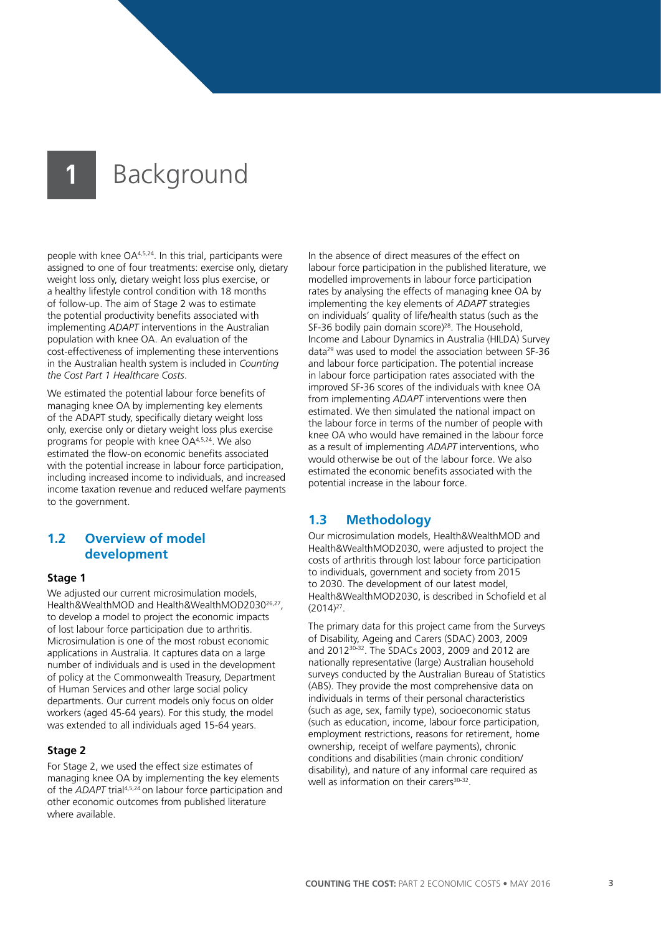people with knee OA4,5,24. In this trial, participants were assigned to one of four treatments: exercise only, dietary weight loss only, dietary weight loss plus exercise, or a healthy lifestyle control condition with 18 months of follow-up. The aim of Stage 2 was to estimate the potential productivity benefits associated with implementing *ADAPT* interventions in the Australian population with knee OA. An evaluation of the cost-effectiveness of implementing these interventions in the Australian health system is included in *Counting the Cost Part 1 Healthcare Costs*.

We estimated the potential labour force benefits of managing knee OA by implementing key elements of the ADAPT study, specifically dietary weight loss only, exercise only or dietary weight loss plus exercise programs for people with knee OA4,5,24. We also estimated the flow-on economic benefits associated with the potential increase in labour force participation, including increased income to individuals, and increased income taxation revenue and reduced welfare payments to the government.

### **1.2 Overview of model development**

#### **Stage 1**

We adjusted our current microsimulation models, Health&WealthMOD and Health&WealthMOD203026,27, to develop a model to project the economic impacts of lost labour force participation due to arthritis. Microsimulation is one of the most robust economic applications in Australia. It captures data on a large number of individuals and is used in the development of policy at the Commonwealth Treasury, Department of Human Services and other large social policy departments. Our current models only focus on older workers (aged 45-64 years). For this study, the model was extended to all individuals aged 15-64 years.

### **Stage 2**

For Stage 2, we used the effect size estimates of managing knee OA by implementing the key elements of the *ADAPT* trial4,5,24 on labour force participation and other economic outcomes from published literature where available.

In the absence of direct measures of the effect on labour force participation in the published literature, we modelled improvements in labour force participation rates by analysing the effects of managing knee OA by implementing the key elements of *ADAPT* strategies on individuals' quality of life/health status (such as the SF-36 bodily pain domain score)<sup>28</sup>. The Household, Income and Labour Dynamics in Australia (HILDA) Survey data29 was used to model the association between SF-36 and labour force participation. The potential increase in labour force participation rates associated with the improved SF-36 scores of the individuals with knee OA from implementing *ADAPT* interventions were then estimated. We then simulated the national impact on the labour force in terms of the number of people with knee OA who would have remained in the labour force as a result of implementing *ADAPT* interventions, who would otherwise be out of the labour force. We also estimated the economic benefits associated with the potential increase in the labour force.

### **1.3 Methodology**

Our microsimulation models, Health&WealthMOD and Health&WealthMOD2030, were adjusted to project the costs of arthritis through lost labour force participation to individuals, government and society from 2015 to 2030. The development of our latest model, Health&WealthMOD2030, is described in Schofield et al  $(2014)^{27}$ .

The primary data for this project came from the Surveys of Disability, Ageing and Carers (SDAC) 2003, 2009 and 201230-32. The SDACs 2003, 2009 and 2012 are nationally representative (large) Australian household surveys conducted by the Australian Bureau of Statistics (ABS). They provide the most comprehensive data on individuals in terms of their personal characteristics (such as age, sex, family type), socioeconomic status (such as education, income, labour force participation, employment restrictions, reasons for retirement, home ownership, receipt of welfare payments), chronic conditions and disabilities (main chronic condition/ disability), and nature of any informal care required as well as information on their carers<sup>30-32</sup>.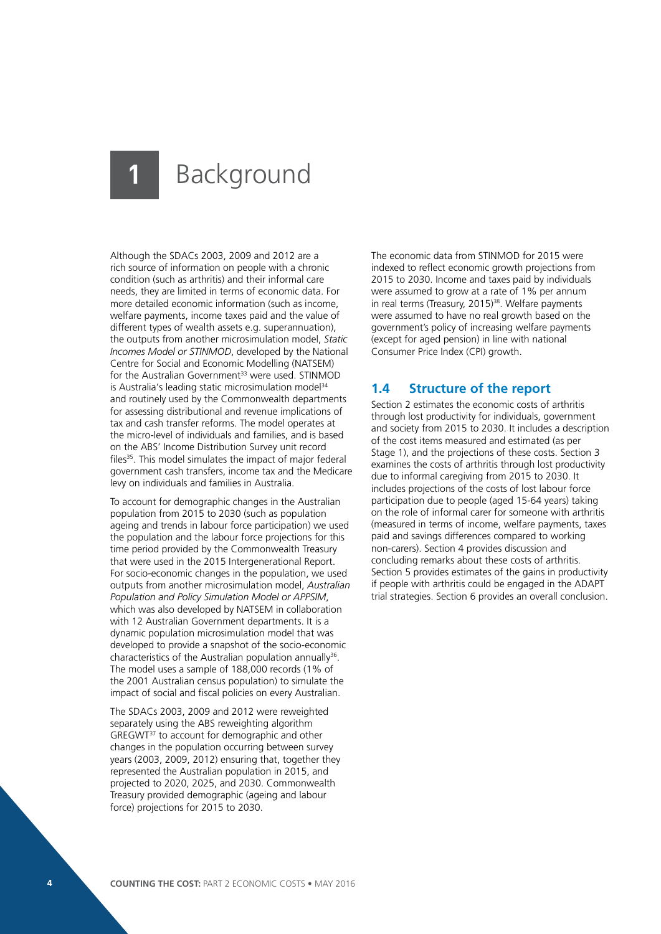Although the SDACs 2003, 2009 and 2012 are a rich source of information on people with a chronic condition (such as arthritis) and their informal care needs, they are limited in terms of economic data. For more detailed economic information (such as income, welfare payments, income taxes paid and the value of different types of wealth assets e.g. superannuation), the outputs from another microsimulation model, *Static Incomes Model or STINMOD*, developed by the National Centre for Social and Economic Modelling (NATSEM) for the Australian Government<sup>33</sup> were used. STINMOD is Australia's leading static microsimulation model<sup>34</sup> and routinely used by the Commonwealth departments for assessing distributional and revenue implications of tax and cash transfer reforms. The model operates at the micro-level of individuals and families, and is based on the ABS' Income Distribution Survey unit record files<sup>35</sup>. This model simulates the impact of major federal government cash transfers, income tax and the Medicare levy on individuals and families in Australia.

To account for demographic changes in the Australian population from 2015 to 2030 (such as population ageing and trends in labour force participation) we used the population and the labour force projections for this time period provided by the Commonwealth Treasury that were used in the 2015 Intergenerational Report. For socio-economic changes in the population, we used outputs from another microsimulation model, *Australian Population and Policy Simulation Model or APPSIM*, which was also developed by NATSEM in collaboration with 12 Australian Government departments. It is a dynamic population microsimulation model that was developed to provide a snapshot of the socio-economic characteristics of the Australian population annually<sup>36</sup>. The model uses a sample of 188,000 records (1% of the 2001 Australian census population) to simulate the impact of social and fiscal policies on every Australian.

The SDACs 2003, 2009 and 2012 were reweighted separately using the ABS reweighting algorithm GREGWT37 to account for demographic and other changes in the population occurring between survey years (2003, 2009, 2012) ensuring that, together they represented the Australian population in 2015, and projected to 2020, 2025, and 2030. Commonwealth Treasury provided demographic (ageing and labour force) projections for 2015 to 2030.

The economic data from STINMOD for 2015 were indexed to reflect economic growth projections from 2015 to 2030. Income and taxes paid by individuals were assumed to grow at a rate of 1% per annum in real terms (Treasury, 2015)<sup>38</sup>. Welfare payments were assumed to have no real growth based on the government's policy of increasing welfare payments (except for aged pension) in line with national Consumer Price Index (CPI) growth.

### **1.4 Structure of the report**

Section 2 estimates the economic costs of arthritis through lost productivity for individuals, government and society from 2015 to 2030. It includes a description of the cost items measured and estimated (as per Stage 1), and the projections of these costs. Section 3 examines the costs of arthritis through lost productivity due to informal caregiving from 2015 to 2030. It includes projections of the costs of lost labour force participation due to people (aged 15-64 years) taking on the role of informal carer for someone with arthritis (measured in terms of income, welfare payments, taxes paid and savings differences compared to working non-carers). Section 4 provides discussion and concluding remarks about these costs of arthritis. Section 5 provides estimates of the gains in productivity if people with arthritis could be engaged in the ADAPT trial strategies. Section 6 provides an overall conclusion.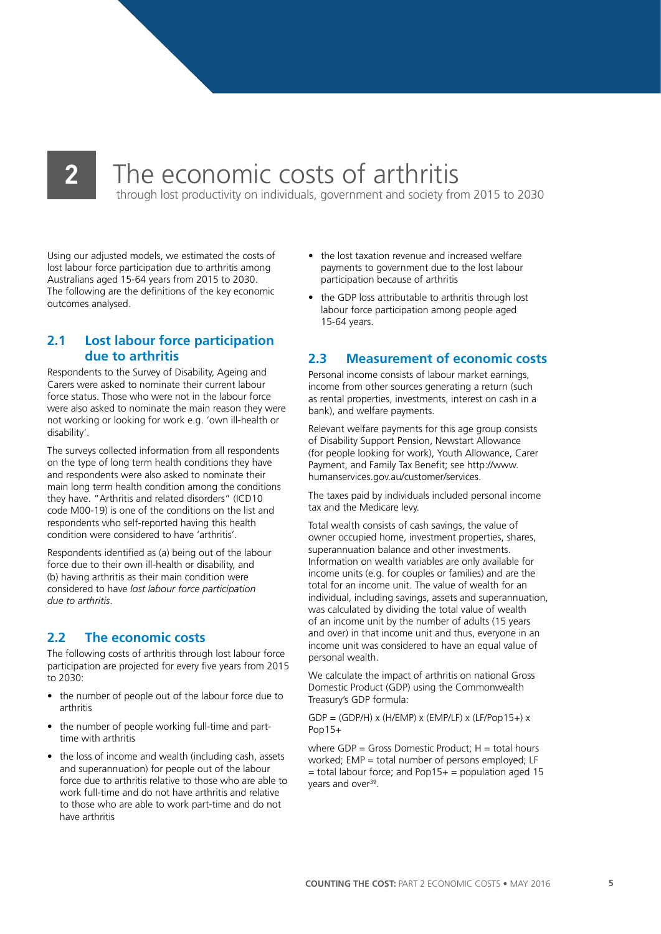## **2** The economic costs of arthritis

through lost productivity on individuals, government and society from 2015 to 2030

Using our adjusted models, we estimated the costs of lost labour force participation due to arthritis among Australians aged 15-64 years from 2015 to 2030. The following are the definitions of the key economic outcomes analysed.

### **2.1 Lost labour force participation due to arthritis**

Respondents to the Survey of Disability, Ageing and Carers were asked to nominate their current labour force status. Those who were not in the labour force were also asked to nominate the main reason they were not working or looking for work e.g. 'own ill-health or disability'.

The surveys collected information from all respondents on the type of long term health conditions they have and respondents were also asked to nominate their main long term health condition among the conditions they have. "Arthritis and related disorders" (ICD10 code M00-19) is one of the conditions on the list and respondents who self-reported having this health condition were considered to have 'arthritis'.

Respondents identified as (a) being out of the labour force due to their own ill-health or disability, and (b) having arthritis as their main condition were considered to have *lost labour force participation due to arthritis*.

### **2.2 The economic costs**

The following costs of arthritis through lost labour force participation are projected for every five years from 2015 to 2030:

- the number of people out of the labour force due to arthritis
- the number of people working full-time and parttime with arthritis
- the loss of income and wealth (including cash, assets and superannuation) for people out of the labour force due to arthritis relative to those who are able to work full-time and do not have arthritis and relative to those who are able to work part-time and do not have arthritis
- the lost taxation revenue and increased welfare payments to government due to the lost labour participation because of arthritis
- the GDP loss attributable to arthritis through lost labour force participation among people aged 15-64 years.

### **2.3 Measurement of economic costs**

Personal income consists of labour market earnings, income from other sources generating a return (such as rental properties, investments, interest on cash in a bank), and welfare payments.

Relevant welfare payments for this age group consists of Disability Support Pension, Newstart Allowance (for people looking for work), Youth Allowance, Carer Payment, and Family Tax Benefit; see http://www. humanservices.gov.au/customer/services.

The taxes paid by individuals included personal income tax and the Medicare levy.

Total wealth consists of cash savings, the value of owner occupied home, investment properties, shares, superannuation balance and other investments. Information on wealth variables are only available for income units (e.g. for couples or families) and are the total for an income unit. The value of wealth for an individual, including savings, assets and superannuation, was calculated by dividing the total value of wealth of an income unit by the number of adults (15 years and over) in that income unit and thus, everyone in an income unit was considered to have an equal value of personal wealth.

We calculate the impact of arthritis on national Gross Domestic Product (GDP) using the Commonwealth Treasury's GDP formula:

 $GDP = (GDP/H) \times (H/EMP) \times (EMP/LF) \times (LF/Pop15+) \times$ Pop15+

where  $GDP = Gross$  Domestic Product:  $H = total$  hours worked; EMP = total number of persons employed; LF  $=$  total labour force; and Pop15+  $=$  population aged 15 years and over<sup>39</sup>.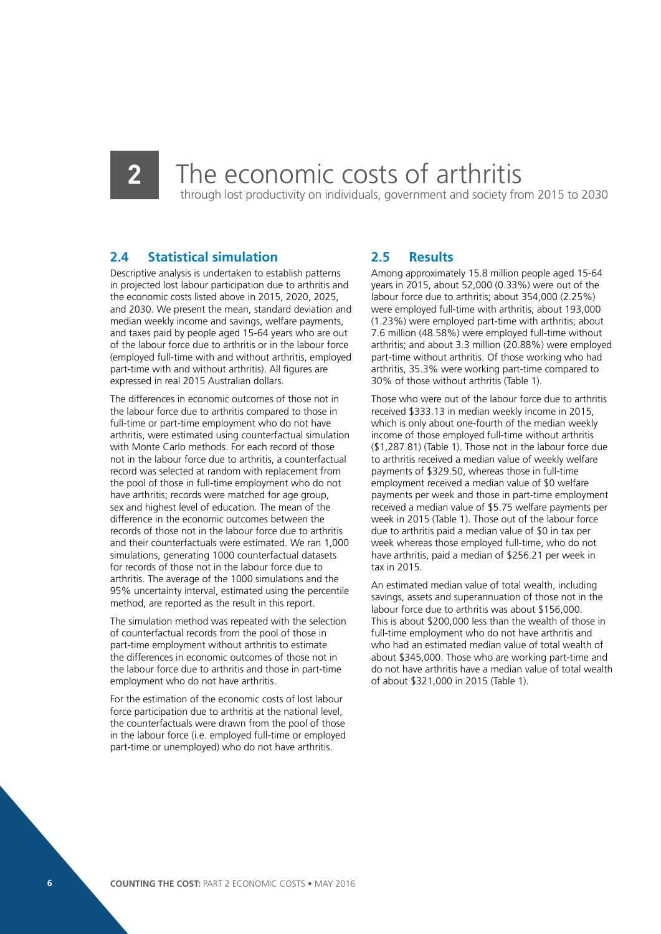## **2** The economic costs of arthritis

through lost productivity on individuals, government and society from 2015 to 2030

### **2.4 Statistical simulation**

Descriptive analysis is undertaken to establish patterns in projected lost labour participation due to arthritis and the economic costs listed above in 2015, 2020, 2025, and 2030. We present the mean, standard deviation and median weekly income and savings, welfare payments, and taxes paid by people aged 15-64 years who are out of the labour force due to arthritis or in the labour force (employed full-time with and without arthritis, employed part-time with and without arthritis). All figures are expressed in real 2015 Australian dollars.

The differences in economic outcomes of those not in the labour force due to arthritis compared to those in full-time or part-time employment who do not have arthritis, were estimated using counterfactual simulation with Monte Carlo methods. For each record of those not in the labour force due to arthritis, a counterfactual record was selected at random with replacement from the pool of those in full-time employment who do not have arthritis; records were matched for age group. sex and highest level of education. The mean of the difference in the economic outcomes between the records of those not in the labour force due to arthritis and their counterfactuals were estimated. We ran 1,000 simulations, generating 1000 counterfactual datasets for records of those not in the labour force due to arthritis. The average of the 1000 simulations and the 95% uncertainty interval, estimated using the percentile method, are reported as the result in this report.

The simulation method was repeated with the selection of counterfactual records from the pool of those in part-time employment without arthritis to estimate the differences in economic outcomes of those not in the labour force due to arthritis and those in part-time employment who do not have arthritis.

For the estimation of the economic costs of lost labour force participation due to arthritis at the national level, the counterfactuals were drawn from the pool of those in the labour force (i.e. employed full-time or employed part-time or unemployed) who do not have arthritis.

### **2.5 Results**

Among approximately 15.8 million people aged 15-64 years in 2015, about 52,000 (0.33%) were out of the labour force due to arthritis; about 354,000 (2.25%) were employed full-time with arthritis; about 193,000 (1.23%) were employed part-time with arthritis; about 7.6 million (48.58%) were employed full-time without arthritis; and about 3.3 million (20.88%) were employed part-time without arthritis. Of those working who had arthritis, 35.3% were working part-time compared to 30% of those without arthritis (Table 1).

Those who were out of the labour force due to arthritis received \$333.13 in median weekly income in 2015, which is only about one-fourth of the median weekly income of those employed full-time without arthritis (\$1,287.81) (Table 1). Those not in the labour force due to arthritis received a median value of weekly welfare payments of \$329.50, whereas those in full-time employment received a median value of \$0 welfare payments per week and those in part-time employment received a median value of \$5.75 welfare payments per week in 2015 (Table 1). Those out of the labour force due to arthritis paid a median value of \$0 in tax per week whereas those employed full-time, who do not have arthritis, paid a median of \$256.21 per week in tax in 2015.

An estimated median value of total wealth, including savings, assets and superannuation of those not in the labour force due to arthritis was about \$156,000. This is about \$200,000 less than the wealth of those in full-time employment who do not have arthritis and who had an estimated median value of total wealth of about \$345,000. Those who are working part-time and do not have arthritis have a median value of total wealth of about \$321,000 in 2015 (Table 1).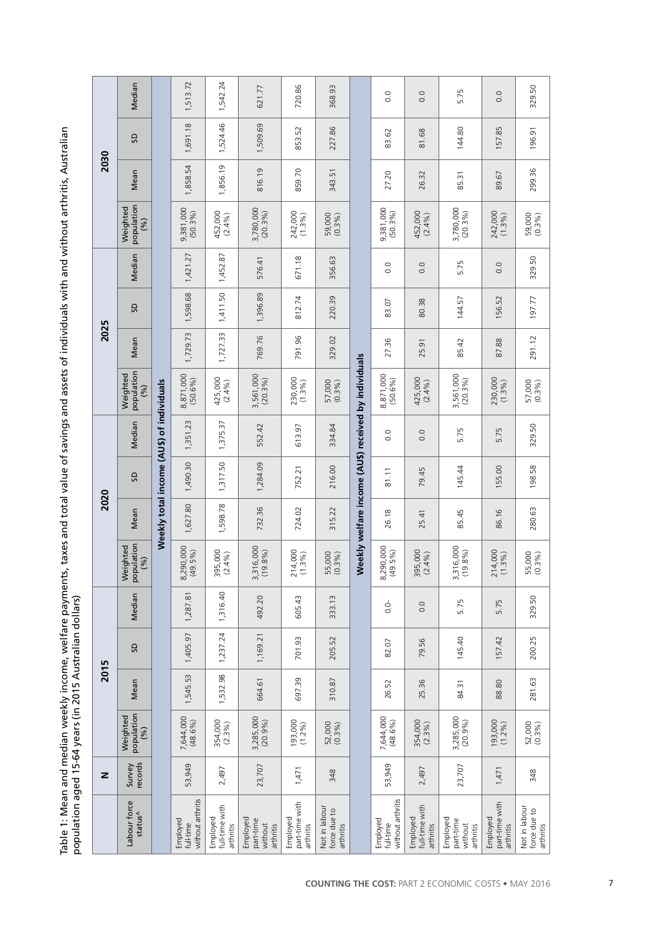Table 1: Mean and median weekly income, welfare payments, taxes and total value of savings and assets of individuals with and without arthritis, Australian<br>population aged 15-64 years (in 2015 Australian dollars) Table 1: Mean and median weekly income, welfare payments, taxes and total value of savings and assets of individuals with and without arthritis, Australian population aged 15-64 years (in 2015 Australian dollars)

|      | Median                         |                                           | 1,513.72                                   | 1,542.24                                | 621.77                                        | 720.86                                  | 368.93                                     |                                                     | 0.0                                        | 0.0                                     | 5.75                                          | 0.0                                     | 329.50                                     |
|------|--------------------------------|-------------------------------------------|--------------------------------------------|-----------------------------------------|-----------------------------------------------|-----------------------------------------|--------------------------------------------|-----------------------------------------------------|--------------------------------------------|-----------------------------------------|-----------------------------------------------|-----------------------------------------|--------------------------------------------|
|      | SD                             |                                           | 1,691.18                                   | 1,524.46                                | 1,509.69                                      | 853.52                                  | 227.86                                     |                                                     | 83.62                                      | 81.68                                   | 144.80                                        | 157.85                                  | 196.91                                     |
| 2030 | Mean                           |                                           | 1,858.54                                   | 1,856.19                                | 816.19                                        | 859.70                                  | 343.51                                     |                                                     | 27.20                                      | 26.32                                   | 85.31                                         | 89.67                                   | 299.36                                     |
|      | population<br>Weighted<br>(96) |                                           | 9,381,000<br>(50.3%)                       | 452,000<br>(2.4%)                       | 3,780,000<br>$(20.3\%)$                       | 242,000<br>(1.3%)                       | 59,000<br>(0.3%)                           |                                                     | 9,381,000<br>(50.3%)                       | 452,000<br>(2.4%)                       | 3,780,000<br>$(20.3\%)$                       | 242,000<br>(1.3%)                       | 59,000<br>(0.3%)                           |
|      | Median                         |                                           | 1,421.27                                   | 1,452.87                                | 576.41                                        | 671.18                                  | 356.63                                     |                                                     | $\overline{0}$                             | 0.0                                     | 5.75                                          | 0.0                                     | 329.50                                     |
|      | <b>G</b>                       |                                           | 1,598.68                                   | 1,411.50                                | 1,396.89                                      | 812.74                                  | 220.39                                     |                                                     | 83.07                                      | 80.38                                   | 144.57                                        | 156.52                                  | 197.77                                     |
| 2025 | Mean                           |                                           | 1,729.73                                   | 1,727.33                                | 769.76                                        | 791.96                                  | 329.02                                     |                                                     | 27.36                                      | 25.91                                   | 85.42                                         | 87.88                                   | 291.12                                     |
|      | population<br>Weighted<br>(96) |                                           | 8,871,000<br>(50.6%)                       | 425,000<br>(2.4%)                       | 3,561,000<br>(20.3%)                          | 230,000<br>(1.3%)                       | 57,000<br>(0.3%)                           | Weekly welfare income (AUS) received by individuals | 8,871,000                                  | 425,000<br>(2.4%)                       | 3,561,000<br>$(20.3\%)$                       | 230,000<br>$(1.3\%)$                    | 57,000<br>(0.3%)                           |
|      | Median                         |                                           | 1,351.23                                   | 1,375.37                                | 552.42                                        | 613.97                                  | 334.84                                     |                                                     | $\overline{0}$                             | 0.0                                     | 5.75                                          | 5.75                                    | 329.50                                     |
|      | SD,                            |                                           | 1,490.30                                   | 1,317.50                                | 1,284.09                                      | 752.21                                  | 216.00                                     |                                                     | 81.11                                      | 79.45                                   | 145.44                                        | 155.00                                  | 198.58                                     |
| 2020 | Mean                           | Weekly total income (AU\$) of individuals | 1,627.80                                   | 1,598.78                                | 732.36                                        | 724.02                                  | 315.22                                     |                                                     | 26.18                                      | 25.41                                   | 85.45                                         | 86.16                                   | 280.63                                     |
|      | population<br>Weighted<br>(%)  |                                           | 8,290,000<br>(49.5%)                       | 395,000<br>(2.4%)                       | 3,316,000<br>(19.8%)                          | 214,000<br>(1.3%)                       | 55,000<br>(0.3%)                           |                                                     | 8,290,000<br>(49.5%)                       | 395,000<br>(2.4%)                       | 3,316,000<br>(19.8%)                          | 214,000<br>1.3%<br>$\dot{\ }$           | 55,000<br>(0.3%)                           |
|      | Median                         |                                           | 1,287.81                                   | 1,316.40                                | 492.20                                        | 605.43                                  | 333.13                                     |                                                     | 0.0                                        | 0.0                                     | 5.75                                          | 5.75                                    | 329.50                                     |
|      | SD                             | 1,405.97                                  |                                            | 1,237.24                                | 1,169.21                                      | 701.93                                  | 205.52                                     |                                                     | 82.07                                      | 79.56                                   | 145.40                                        | 157.42                                  | 200.25                                     |
| 2015 | Mean                           |                                           | 1,545.53                                   | 1,532.98                                | 664.61                                        | 697.39                                  | 310.87                                     |                                                     | 26.52                                      | 25.36                                   | 84.31                                         | 88.80                                   | 281.63                                     |
|      | population<br>Weighted<br>(96) |                                           | 7,644,000<br>(48.6%)                       | 354,000<br>(2.3%)                       | 3,285,000<br>(20.9%)                          | 193,000<br>(1.2%)                       | 52,000<br>(0.3%)                           |                                                     | 7,644,000<br>(48.6%)                       | 354,000<br>(2.3%)                       | 3,285,000<br>(20.9%)                          | $193,000$<br>$(1.2%)$                   | 52,000<br>(0.3%)                           |
| z    | records<br>Survey              |                                           | 53,949                                     | 2,497                                   | 23,707                                        | 1,471                                   | 348                                        |                                                     | 53,949                                     | 2,497                                   | 23,707                                        | 1,471                                   | 348                                        |
|      | Labour force<br>status^        |                                           | without arthritis<br>Employed<br>full-time | full-time with<br>Employed<br>arthritis | Employed<br>part-time<br>without<br>arthritis | part-time with<br>Employed<br>arthritis | Not in labour<br>force due to<br>arthritis |                                                     | without arthritis<br>Employed<br>full-time | full-time with<br>Employed<br>arthritis | Employed<br>part-time<br>without<br>arthritis | part-time with<br>Employed<br>arthritis | Not in labour<br>force due to<br>arthritis |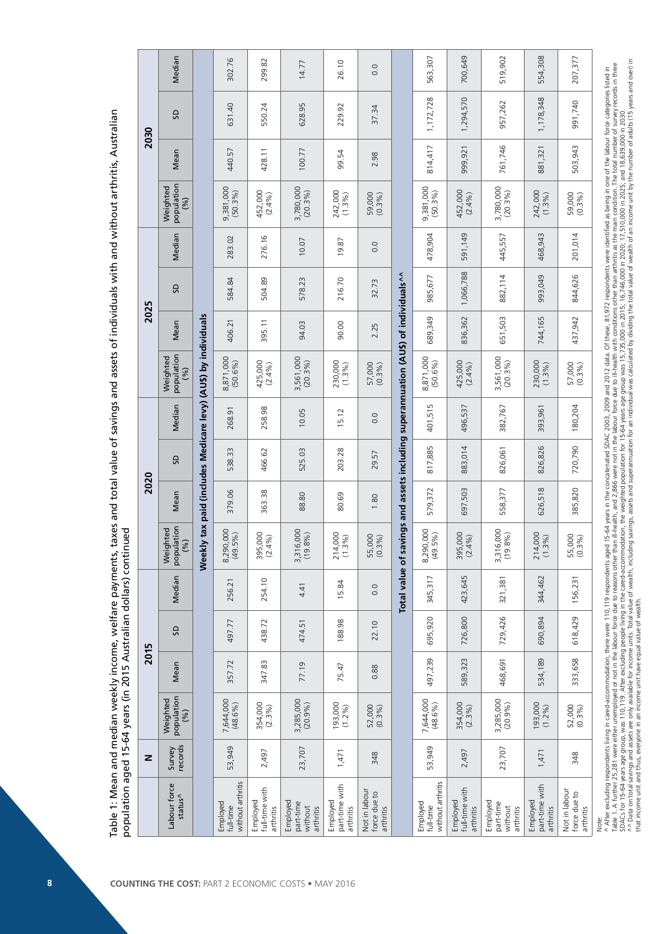|              | Median                         |                                                          | 302.76                                     | 299.82                                  | 14.77                                         | 26.10                                   | 0.0                                        |                                                                  | 563,307                                    | 700,649                                 | 519,902                                       | 554,308                                 | 207,377                                    |
|--------------|--------------------------------|----------------------------------------------------------|--------------------------------------------|-----------------------------------------|-----------------------------------------------|-----------------------------------------|--------------------------------------------|------------------------------------------------------------------|--------------------------------------------|-----------------------------------------|-----------------------------------------------|-----------------------------------------|--------------------------------------------|
|              | GS                             |                                                          | 631.40                                     | 550.24                                  | 628.95                                        | 229.92                                  | 37.34                                      |                                                                  | 1, 172, 728                                | 1,294,570                               | 957,262                                       | 1,178,348                               | 991,740                                    |
| 2030         | Mean                           |                                                          | 440.57                                     | 428.11                                  | 100.77                                        | 99.54                                   | 2.98                                       |                                                                  | 814,417                                    | 999,921                                 | 761,746                                       | 881,321                                 | 503,943                                    |
|              | population<br>(%)<br>Weighted  |                                                          | 9,381,000<br>(50.3%)                       | 452,000<br>(2.4%)                       | 3,780,000<br>(20.3%)                          | 242,000<br>(1.3%)                       | 59,000                                     |                                                                  | 9,381,000<br>(50.3%)                       | 452,000<br>(2.4%)                       | 3,780,000<br>(20.3%)                          | 242,000<br>(1.3%)                       | 59,000<br>(0.3%)                           |
|              | Median                         |                                                          | 283.02                                     | 276.16                                  | 10.07                                         | 19.87                                   | 0.0                                        |                                                                  | 478,904                                    | 591,149                                 | 445,557                                       | 468,943                                 | 201,014                                    |
|              | G                              |                                                          | 584.84                                     | 504.89                                  | 578.23                                        | 216.70                                  | 32.73                                      |                                                                  | 985,677                                    | 1,066,788                               | 882,114                                       | 993,049                                 | 844,626                                    |
| 2025         | Mean                           |                                                          | 406.21                                     | 395.11                                  | 94.03                                         | 90.00                                   | 2.25                                       |                                                                  | 689,349                                    | 836,362                                 | 651,503                                       | 744,165                                 | 437,942                                    |
|              | population<br>(%)<br>Weighted  | y tax paid (includes Medicare levy) (AUS) by individuals | 8,871,000<br>(50.6%)                       | 425,000<br>(2.4%)                       | 3,561,000<br>(20.3%)                          | 230,000<br>(1.3%)                       | 57,000<br>(0.3%)                           | vings and assets including superannuation (AUS) of individuals^^ | 8,871,000<br>(50.6%)                       | 425,000<br>(2.4%)                       | 3,561,000<br>(20.3%)                          | 230,000<br>(1.3%)                       | 57,000<br>(0.3%)                           |
|              | Median                         |                                                          | 268.91                                     | 258.98                                  | 10.05                                         | 5.12                                    | 0.0                                        |                                                                  | FU<br>401,51                               | 496,537                                 | 382,767                                       | 393,961                                 | 180,204                                    |
|              | GS                             |                                                          | 538.33                                     | 466.62                                  | 525.03                                        | 203.28                                  | 29.57                                      |                                                                  | 817,885                                    | 883,014                                 | 826,061                                       | 826,826                                 | 720,790                                    |
| 2020         | Mean                           |                                                          | 379.06                                     | 363.38                                  | 88.80                                         | 80.69                                   | 1.80                                       |                                                                  | 579,372                                    | 697,503                                 | 558,377                                       | 626,518                                 | 385,820                                    |
|              | population<br>Weighted<br>(96) | Weekly                                                   | ,000<br>$(49.5\%)$<br>8,290                | 000<br>395,000<br>(2.4%)                | 3,316,000<br>(19.8%)                          | 000<br>214,000<br>(1.3%)                | 55,000                                     | of say                                                           | 8,290,000<br>(49.5%)                       | 395,000<br>(2.4%)                       | 3,316,000<br>(19.8%)                          | 000<br>214,000<br>(1.3%)                | 55,000<br>(0.3%)                           |
|              | Median                         |                                                          | 256.21                                     | 254.10                                  | 4.41                                          | 15.84                                   | 0.0                                        | Total value                                                      | 345,317                                    | ŗ,<br>423,64                            | 321,381                                       | 344,462                                 | 156,231                                    |
|              | æ                              |                                                          | 497.77                                     | 438.72                                  | 474.51                                        | 188.98                                  | 22.10                                      |                                                                  | 695,920                                    | 726,800                                 | 729,426                                       | 690,894                                 | 618,429                                    |
| 2015         | Mean                           |                                                          | 357.72                                     | 347.83                                  | 77.19                                         | 75.47                                   | 0.88                                       |                                                                  | 497,239                                    | 589,323                                 | 468,691                                       | 534,189                                 | 333,658                                    |
|              | population<br>Weighted<br>(96) |                                                          | 7,644,000<br>$(48.6\%)$                    | 354,000<br>(2.3%)                       | 3,285,000                                     | 193,000<br>(1.2%)                       | 52,000<br>(0.3%)                           |                                                                  | 7,644,000<br>(48.6%)                       | 354,000<br>(2.3%)                       | 3,285,000                                     | 193,000<br>(1.2%)                       | 52,000                                     |
| $\mathbf{z}$ | records<br>Survey              |                                                          | 53,949                                     | 2,497                                   | 23,707                                        | 1,471                                   | 348                                        |                                                                  | 53,949                                     | 2,497                                   | 23,707                                        | 1,471                                   | 348                                        |
|              | Labour force<br>status^        |                                                          | without arthritis<br>Employed<br>full-time | full-time with<br>Employed<br>arthritis | Employed<br>part-time<br>without<br>arthritis | part-time with<br>Employed<br>arthritis | Not in labour<br>force due to<br>arthritis |                                                                  | without arthritis<br>Employed<br>full-time | full-time with<br>Employed<br>arthritis | Employed<br>part-time<br>without<br>arthritis | part-time with<br>Employed<br>arthritis | Not in labour<br>force due to<br>arthritis |

^ Arter excuunig respondents invitig in carte-accommodator), there were invitated age investigated in the concatenated sub-acceptancy interval interval interval interval interval interval interval interval interval inter ^^ Data on total savings and assets are only available for income units. Total viesely of weath, including savings, assets and superannuation for an individual was calculated by dividing the total value of wealth of an inc Table 1. A further 25.281 were either unemployed or not in the labour force other than ill-health, and 2.866 were not in the labour force due to ill-health with conditions other than arthritis as the main condition. The to SDACs for 15-64 years age group, was 110,119. After excluding people living in the cared-accommodation, the weighted population for 15-64 years age group was 15,735,000 in 2015; 16,746,000 in 2020; 17,510,000 in 2025; and that income unit and thus, everyone in an income unit have equal value of wealth.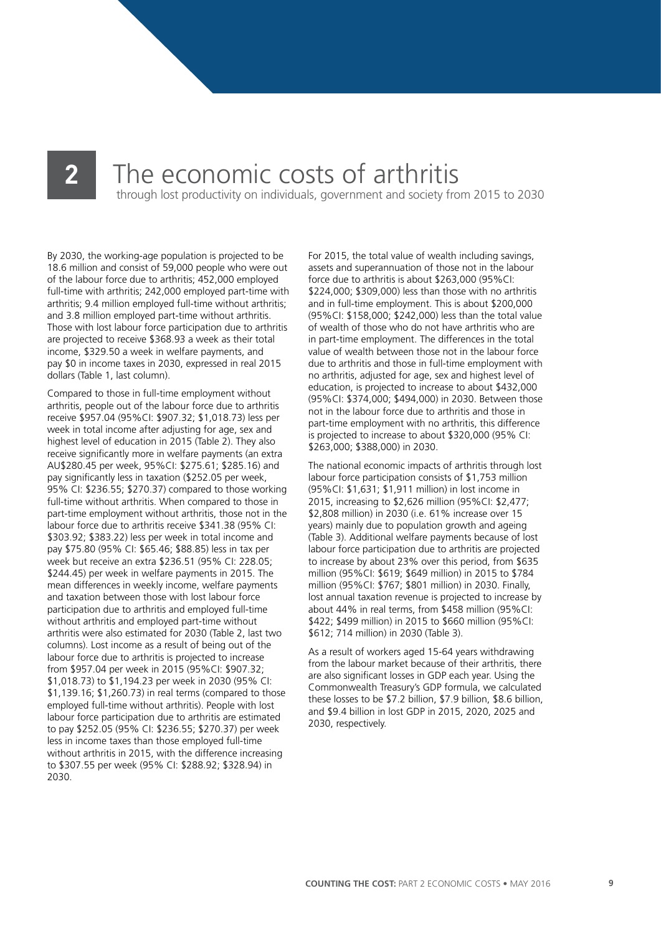## **2** The economic costs of arthritis

through lost productivity on individuals, government and society from 2015 to 2030

By 2030, the working-age population is projected to be 18.6 million and consist of 59,000 people who were out of the labour force due to arthritis; 452,000 employed full-time with arthritis; 242,000 employed part-time with arthritis; 9.4 million employed full-time without arthritis; and 3.8 million employed part-time without arthritis. Those with lost labour force participation due to arthritis are projected to receive \$368.93 a week as their total income, \$329.50 a week in welfare payments, and pay \$0 in income taxes in 2030, expressed in real 2015 dollars (Table 1, last column).

Compared to those in full-time employment without arthritis, people out of the labour force due to arthritis receive \$957.04 (95%CI: \$907.32; \$1,018.73) less per week in total income after adjusting for age, sex and highest level of education in 2015 (Table 2). They also receive significantly more in welfare payments (an extra AU\$280.45 per week, 95%CI: \$275.61; \$285.16) and pay significantly less in taxation (\$252.05 per week, 95% CI: \$236.55; \$270.37) compared to those working full-time without arthritis. When compared to those in part-time employment without arthritis, those not in the labour force due to arthritis receive \$341.38 (95% CI: \$303.92; \$383.22) less per week in total income and pay \$75.80 (95% CI: \$65.46; \$88.85) less in tax per week but receive an extra \$236.51 (95% CI: 228.05; \$244.45) per week in welfare payments in 2015. The mean differences in weekly income, welfare payments and taxation between those with lost labour force participation due to arthritis and employed full-time without arthritis and employed part-time without arthritis were also estimated for 2030 (Table 2, last two columns). Lost income as a result of being out of the labour force due to arthritis is projected to increase from \$957.04 per week in 2015 (95%CI: \$907.32; \$1,018.73) to \$1,194.23 per week in 2030 (95% CI: \$1,139.16; \$1,260.73) in real terms (compared to those employed full-time without arthritis). People with lost labour force participation due to arthritis are estimated to pay \$252.05 (95% CI: \$236.55; \$270.37) per week less in income taxes than those employed full-time without arthritis in 2015, with the difference increasing to \$307.55 per week (95% CI: \$288.92; \$328.94) in 2030.

For 2015, the total value of wealth including savings, assets and superannuation of those not in the labour force due to arthritis is about \$263,000 (95%CI: \$224,000; \$309,000) less than those with no arthritis and in full-time employment. This is about \$200,000 (95%CI: \$158,000; \$242,000) less than the total value of wealth of those who do not have arthritis who are in part-time employment. The differences in the total value of wealth between those not in the labour force due to arthritis and those in full-time employment with no arthritis, adjusted for age, sex and highest level of education, is projected to increase to about \$432,000 (95%CI: \$374,000; \$494,000) in 2030. Between those not in the labour force due to arthritis and those in part-time employment with no arthritis, this difference is projected to increase to about \$320,000 (95% CI: \$263,000; \$388,000) in 2030.

The national economic impacts of arthritis through lost labour force participation consists of \$1,753 million (95%CI: \$1,631; \$1,911 million) in lost income in 2015, increasing to \$2,626 million (95%CI: \$2,477; \$2,808 million) in 2030 (i.e. 61% increase over 15 years) mainly due to population growth and ageing (Table 3). Additional welfare payments because of lost labour force participation due to arthritis are projected to increase by about 23% over this period, from \$635 million (95%CI: \$619; \$649 million) in 2015 to \$784 million (95%CI: \$767; \$801 million) in 2030. Finally, lost annual taxation revenue is projected to increase by about 44% in real terms, from \$458 million (95%CI: \$422; \$499 million) in 2015 to \$660 million (95%CI: \$612; 714 million) in 2030 (Table 3).

As a result of workers aged 15-64 years withdrawing from the labour market because of their arthritis, there are also significant losses in GDP each year. Using the Commonwealth Treasury's GDP formula, we calculated these losses to be \$7.2 billion, \$7.9 billion, \$8.6 billion, and \$9.4 billion in lost GDP in 2015, 2020, 2025 and 2030, respectively.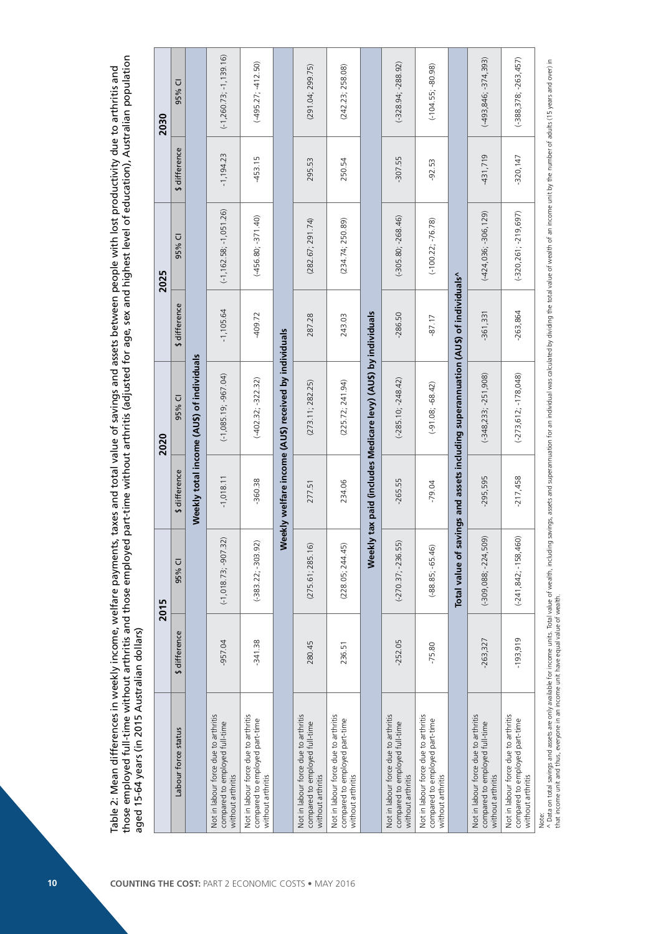|                                                                                             | aged 15-64 years (in 2015 Australian dollars) | 2015                     |               | 2020                                                                              |               | 2025                       |               | 2030                       |
|---------------------------------------------------------------------------------------------|-----------------------------------------------|--------------------------|---------------|-----------------------------------------------------------------------------------|---------------|----------------------------|---------------|----------------------------|
| Labour force status                                                                         | \$ difference                                 | 95% CI                   | \$ difference | 95% CI                                                                            | \$ difference | 95% CI                     | \$ difference | 95% CI                     |
|                                                                                             |                                               |                          |               | Weekly total income (AU\$) of individuals                                         |               |                            |               |                            |
| Not in labour force due to arthritis<br>compared to employed full-time<br>without arthritis | $-957.04$                                     | $(-1, 018.73, -907.32)$  | $-1,018.11$   | $(-1,085.19,-967.04)$                                                             | $-1,105.64$   | $(-1, 162.58; -1, 051.26)$ | $-1,194.23$   | $(-1, 260.73; -1, 139.16)$ |
| Not in labour force due to arthritis<br>compared to employed part-time<br>without arthritis | $-341.38$                                     | $(-383.22; -303.92)$     | -360.38       | $(-402.32; -322.32)$                                                              | $-409.72$     | $(-456.80; -371.40)$       | -453.15       | $(-495.27; -412.50)$       |
|                                                                                             |                                               |                          |               | Weekly welfare income (AUS) received by individuals                               |               |                            |               |                            |
| Not in labour force due to arthritis<br>compared to employed full-time<br>without arthritis | 280.45                                        | (275.61; 285.16)         | 277.51        | (273.11; 282.25)                                                                  | 287.28        | (282.67; 291.74)           | 295.53        | (291.04; 299.75)           |
| Not in labour force due to arthritis<br>compared to employed part-time<br>without arthritis | 236.51                                        | (228.05; 244.45)         | 234.06        | (225.72; 241.94)                                                                  | 243.03        | (234.74; 250.89)           | 250.54        | (242.23; 258.08)           |
|                                                                                             |                                               | Weekly                   |               | tax paid (includes Medicare levy) (AU\$) by individuals                           |               |                            |               |                            |
| Not in labour force due to arthritis<br>compared to employed full-time<br>without arthritis | $-252.05$                                     | $(-270.37; -236.55)$     | $-265.55$     | $(-285.10; -248.42)$                                                              | $-286.50$     | $(-305.80; -268.46)$       | $-307.55$     | $(-328.94; -288.92)$       |
| Not in labour force due to arthritis<br>compared to employed part-time<br>without arthritis | $-75.80$                                      | $(-88.85; -65.46)$       | $-79.04$      | $(-91.08, -68.42)$                                                                | $-87.17$      | $(-100.22; -76.78)$        | $-92.53$      | $(-104.55; -80.98)$        |
|                                                                                             |                                               |                          |               | Total value of savings and assets including superannuation (AU\$) of individuals^ |               |                            |               |                            |
| Not in labour force due to arthritis<br>compared to employed full-time<br>without arthritis | $-263,327$                                    | $(-309,088,-224,509)$    | $-295,595$    | $(-348, 233; -251, 908)$                                                          | 361,331       | $(-424,036; -306,129)$     | $-431,719$    | $(-493, 846; -374, 393)$   |
| Not in labour force due to arthritis<br>compared to employed part-time<br>without arthritis | $-193,919$                                    | $(-241, 842, -158, 460)$ | $-217,458$    | $(-273, 612; -178, 048)$                                                          | $-263,864$    | $(-320, 261, -219, 697)$   | $-320,147$    | $(-388, 378, -263, 457)$   |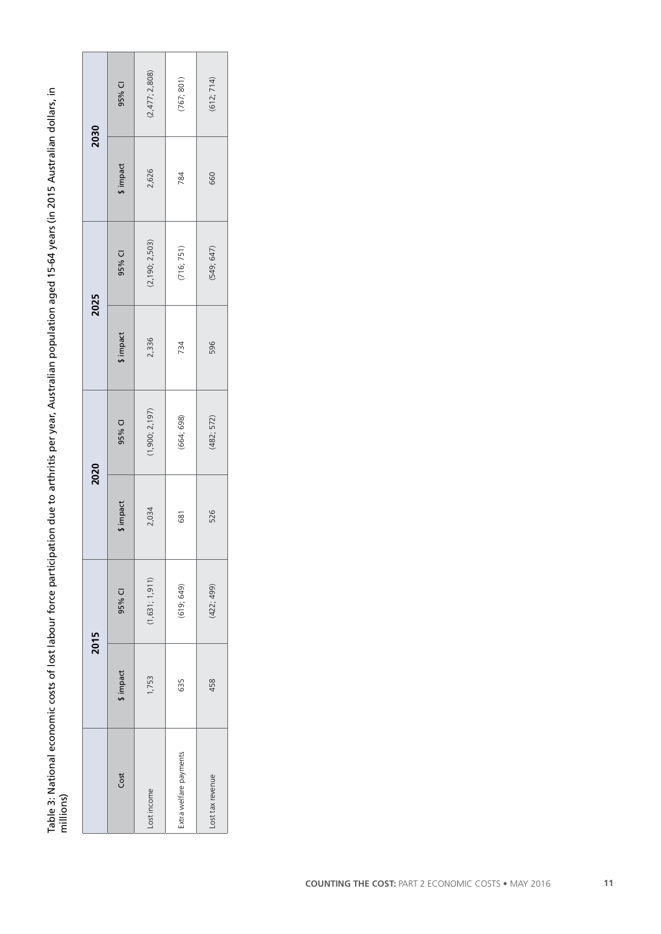Table 3: National economic costs of lost labour force participation due to arthritis per year, Australian population aged 15-64 years (in 2015 Australian dollars, in Table 3: National economic costs of lost labour force participation due to arthritis per year, Australian population aged 15-64 years (in 2015 Australian dollars, in<br>millions)

|                        |          | 2015           | 2020     |                | 2025      |                  |          | 2030           |
|------------------------|----------|----------------|----------|----------------|-----------|------------------|----------|----------------|
| Cost                   | \$impact | 95% CI         | \$impact | 95% CI         | \$ impact | 95% CI           | \$impact | 95% CI         |
| Lost income            | 1,753    | (1,631; 1,911) | 2,034    | (1,900; 2,197) | 2,336     | (2, 190; 2, 503) | 2,626    | (2,477; 2,808) |
| Extra welfare payments | 635      | (619; 649)     | 681      | (664; 698)     | 734       | (716; 751)       | 784      | (767; 801)     |
| Lost tax revenue       | 458      | (422; 499)     | 526      | (482; 572)     | 596       | (549; 647)       | 660      | (612; 714)     |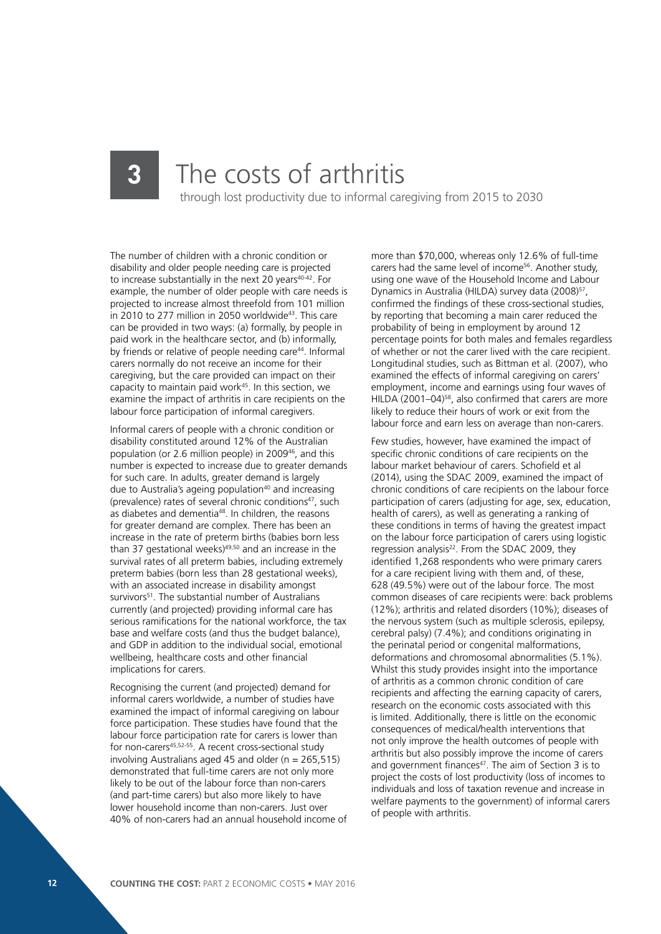### **3** The costs of arthritis through lost productivity due to informal caregiving from 2015 to 2030

The number of children with a chronic condition or disability and older people needing care is projected to increase substantially in the next 20 years<sup>40-42</sup>. For example, the number of older people with care needs is projected to increase almost threefold from 101 million in 2010 to 277 million in 2050 worldwide<sup>43</sup>. This care can be provided in two ways: (a) formally, by people in paid work in the healthcare sector, and (b) informally, by friends or relative of people needing care<sup>44</sup>. Informal carers normally do not receive an income for their caregiving, but the care provided can impact on their capacity to maintain paid work<sup>45</sup>. In this section, we examine the impact of arthritis in care recipients on the labour force participation of informal caregivers.

Informal carers of people with a chronic condition or disability constituted around 12% of the Australian population (or 2.6 million people) in 2009<sup>46</sup>, and this number is expected to increase due to greater demands for such care. In adults, greater demand is largely due to Australia's ageing population<sup>40</sup> and increasing (prevalence) rates of several chronic conditions<sup>47</sup>, such as diabetes and dementia<sup>48</sup>. In children, the reasons for greater demand are complex. There has been an increase in the rate of preterm births (babies born less than 37 gestational weeks)<sup>49,50</sup> and an increase in the survival rates of all preterm babies, including extremely preterm babies (born less than 28 gestational weeks), with an associated increase in disability amongst survivors<sup>51</sup>. The substantial number of Australians currently (and projected) providing informal care has serious ramifications for the national workforce, the tax base and welfare costs (and thus the budget balance), and GDP in addition to the individual social, emotional wellbeing, healthcare costs and other financial implications for carers.

Recognising the current (and projected) demand for informal carers worldwide, a number of studies have examined the impact of informal caregiving on labour force participation. These studies have found that the labour force participation rate for carers is lower than for non-carers45,52-55. A recent cross-sectional study involving Australians aged 45 and older ( $n = 265.515$ ) demonstrated that full-time carers are not only more likely to be out of the labour force than non-carers (and part-time carers) but also more likely to have lower household income than non-carers. Just over 40% of non-carers had an annual household income of

more than \$70,000, whereas only 12.6% of full-time carers had the same level of income<sup>56</sup>. Another study, using one wave of the Household Income and Labour Dynamics in Australia (HILDA) survey data (2008)<sup>57</sup>, confirmed the findings of these cross-sectional studies, by reporting that becoming a main carer reduced the probability of being in employment by around 12 percentage points for both males and females regardless of whether or not the carer lived with the care recipient. Longitudinal studies, such as Bittman et al. (2007), who examined the effects of informal caregiving on carers' employment, income and earnings using four waves of HILDA (2001–04)58, also confirmed that carers are more likely to reduce their hours of work or exit from the labour force and earn less on average than non-carers.

Few studies, however, have examined the impact of specific chronic conditions of care recipients on the labour market behaviour of carers. Schofield et al (2014), using the SDAC 2009, examined the impact of chronic conditions of care recipients on the labour force participation of carers (adjusting for age, sex, education, health of carers), as well as generating a ranking of these conditions in terms of having the greatest impact on the labour force participation of carers using logistic regression analysis<sup>22</sup>. From the SDAC 2009, they identified 1,268 respondents who were primary carers for a care recipient living with them and, of these, 628 (49.5%) were out of the labour force. The most common diseases of care recipients were: back problems (12%); arthritis and related disorders (10%); diseases of the nervous system (such as multiple sclerosis, epilepsy, cerebral palsy) (7.4%); and conditions originating in the perinatal period or congenital malformations, deformations and chromosomal abnormalities (5.1%). Whilst this study provides insight into the importance of arthritis as a common chronic condition of care recipients and affecting the earning capacity of carers, research on the economic costs associated with this is limited. Additionally, there is little on the economic consequences of medical/health interventions that not only improve the health outcomes of people with arthritis but also possibly improve the income of carers and government finances<sup>47</sup>. The aim of Section 3 is to project the costs of lost productivity (loss of incomes to individuals and loss of taxation revenue and increase in welfare payments to the government) of informal carers of people with arthritis.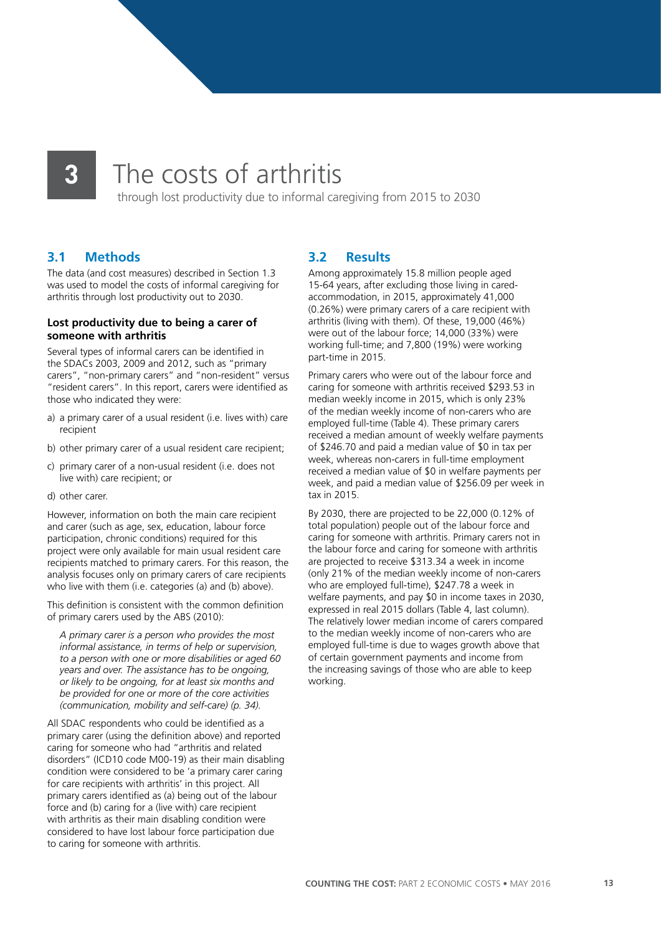### **3** The costs of arthritis

through lost productivity due to informal caregiving from 2015 to 2030

### **3.1 Methods**

The data (and cost measures) described in Section 1.3 was used to model the costs of informal caregiving for arthritis through lost productivity out to 2030.

#### **Lost productivity due to being a carer of someone with arthritis**

Several types of informal carers can be identified in the SDACs 2003, 2009 and 2012, such as "primary carers", "non-primary carers" and "non-resident" versus "resident carers". In this report, carers were identified as those who indicated they were:

- a) a primary carer of a usual resident (i.e. lives with) care recipient
- b) other primary carer of a usual resident care recipient;
- c) primary carer of a non-usual resident (i.e. does not live with) care recipient; or
- d) other carer.

However, information on both the main care recipient and carer (such as age, sex, education, labour force participation, chronic conditions) required for this project were only available for main usual resident care recipients matched to primary carers. For this reason, the analysis focuses only on primary carers of care recipients who live with them (i.e. categories (a) and (b) above).

This definition is consistent with the common definition of primary carers used by the ABS (2010):

*A primary carer is a person who provides the most informal assistance, in terms of help or supervision, to a person with one or more disabilities or aged 60 years and over. The assistance has to be ongoing, or likely to be ongoing, for at least six months and be provided for one or more of the core activities (communication, mobility and self-care) (p. 34).*

All SDAC respondents who could be identified as a primary carer (using the definition above) and reported caring for someone who had "arthritis and related disorders" (ICD10 code M00-19) as their main disabling condition were considered to be 'a primary carer caring for care recipients with arthritis' in this project. All primary carers identified as (a) being out of the labour force and (b) caring for a (live with) care recipient with arthritis as their main disabling condition were considered to have lost labour force participation due to caring for someone with arthritis.

### **3.2 Results**

Among approximately 15.8 million people aged 15-64 years, after excluding those living in caredaccommodation, in 2015, approximately 41,000 (0.26%) were primary carers of a care recipient with arthritis (living with them). Of these, 19,000 (46%) were out of the labour force; 14,000 (33%) were working full-time; and 7,800 (19%) were working part-time in 2015.

Primary carers who were out of the labour force and caring for someone with arthritis received \$293.53 in median weekly income in 2015, which is only 23% of the median weekly income of non-carers who are employed full-time (Table 4). These primary carers received a median amount of weekly welfare payments of \$246.70 and paid a median value of \$0 in tax per week, whereas non-carers in full-time employment received a median value of \$0 in welfare payments per week, and paid a median value of \$256.09 per week in tax in 2015.

By 2030, there are projected to be 22,000 (0.12% of total population) people out of the labour force and caring for someone with arthritis. Primary carers not in the labour force and caring for someone with arthritis are projected to receive \$313.34 a week in income (only 21% of the median weekly income of non-carers who are employed full-time), \$247.78 a week in welfare payments, and pay \$0 in income taxes in 2030, expressed in real 2015 dollars (Table 4, last column). The relatively lower median income of carers compared to the median weekly income of non-carers who are employed full-time is due to wages growth above that of certain government payments and income from the increasing savings of those who are able to keep working.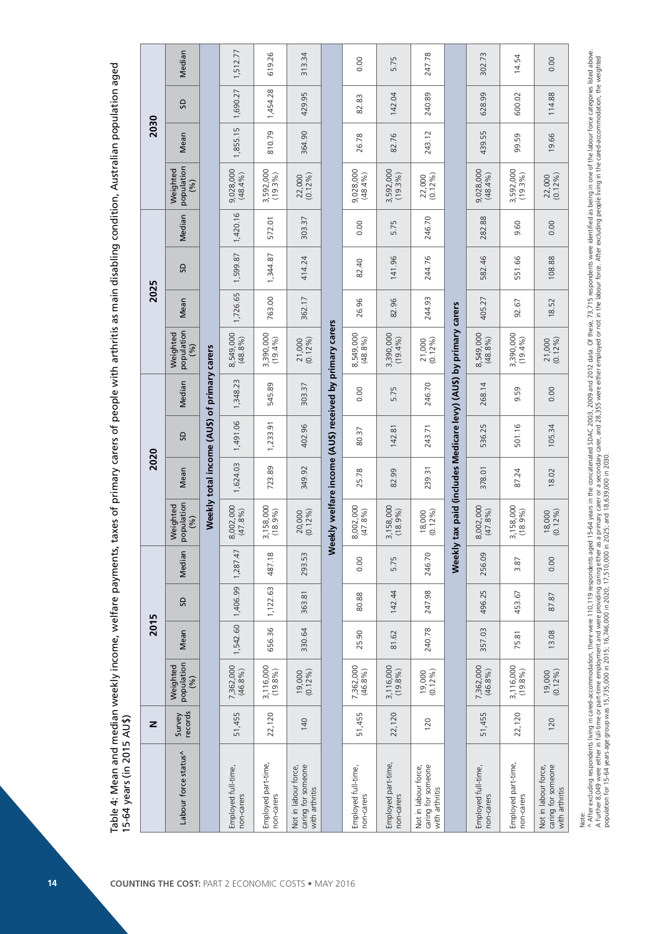|      | Median                           |                                             | 1,512.77                          | 619.26                            | 313.34                                                       |                                                        | 0.00                              | 5.75                              | 247.78                                                       |                                                           | 302.73                            | 14.54                             | 0.00                                                         |
|------|----------------------------------|---------------------------------------------|-----------------------------------|-----------------------------------|--------------------------------------------------------------|--------------------------------------------------------|-----------------------------------|-----------------------------------|--------------------------------------------------------------|-----------------------------------------------------------|-----------------------------------|-----------------------------------|--------------------------------------------------------------|
|      | <b>G</b>                         |                                             | 1,690.27                          | 1,454.28                          | 429.95                                                       |                                                        | 82.83                             | 142.04                            | 240.89                                                       |                                                           | 628.99                            | 600.02                            | 114.88                                                       |
| 2030 | Mean                             |                                             | 1,855.15                          | 810.79                            | 364.90                                                       |                                                        | 26.78                             | 82.76                             | 243.12                                                       |                                                           | 439.55                            | 99.59                             | 19.66                                                        |
|      | population<br>Weighted<br>(9/0)  |                                             | $9,028,000$<br>(48.4%)            | 3,592,000                         | 22,000                                                       |                                                        | 9,028,000<br>(48.4%)              | 3,592,000                         | 22,000<br>(0.12%)                                            |                                                           | 9,028,000<br>(48.4%)              | 3,592,000                         | 22,000                                                       |
|      | Median                           |                                             | 1,420.16                          | 572.01                            | 303.37                                                       |                                                        | 0.00                              | 5.75                              | 246.70                                                       |                                                           | 282.88                            | 9.60                              | 0.00                                                         |
|      | SD,                              |                                             | 1,599.87                          | 1,344.87                          | 414.24                                                       |                                                        | 82.40                             | 141.96                            | 244.76                                                       |                                                           | 582.46                            | 551.66                            | 108.88                                                       |
| 2025 | Mean                             |                                             | 1,726.65                          | 763.00                            | 362.17                                                       |                                                        | 26.96                             | 82.96                             | 244.93                                                       |                                                           | 405.27                            | 92.67                             | 18.52                                                        |
|      | population<br>Weighted<br>(96)   |                                             | 8,549,000<br>(48.8%)              | 3,390,000<br>(19.4%               | 21,000<br>(0.12%)                                            |                                                        | 8,549,000<br>(48.8%)              | 3,390,000<br>(19.4%)              | 21,000<br>(0.12%)                                            | ax paid (includes Medicare levy) (AU\$) by primary carers | 8,549,000<br>(48.8%)              | 3,390,000<br>(19.4%)              | 21,000<br>(0.12%)                                            |
|      | Median                           | Weekly total income (AUS) of primary carers | 1,348.23                          | 545.89                            | 303.37                                                       |                                                        | 0.00                              | 5.75                              | 246.70                                                       |                                                           | 268.14                            | 59<br>o,                          | 0.00                                                         |
|      | SD                               |                                             | 1,491.06                          | 1,233.91                          | 402.96                                                       |                                                        | 80.37                             | 142.81                            | 243.71                                                       |                                                           | 536.25                            | 501.16                            | 105.34                                                       |
| 2020 | Mean                             |                                             | 1,624.03                          | 723.89                            | 349.92                                                       |                                                        | 25.78                             | 82.99                             | 239.31                                                       |                                                           | 378.01                            | 87.24                             | 18.02                                                        |
|      | population<br>Weighted<br>(96)   |                                             | 8,002,000<br>(47.8%               | 3,158,000<br>(18.9%)              | $(0.12\%)$<br>20,000                                         | Weekly welfare income (AUS) received by primary carers | 8,002,000<br>(47.8%)              | 3,158,000<br>$(18.9\%)$           | 18,000<br>(0.12%)                                            |                                                           | 8,002,000<br>(47.8%)              | 3,158,000<br>(18.9%)              | $18,000$<br>(0.12%)                                          |
|      | Median                           |                                             | 1,287.47                          | 487.18                            | 293.53                                                       |                                                        | 0.00                              | 5.75                              | 246.70                                                       | Weekly                                                    | 256.09                            | 3.87                              | 0.00                                                         |
|      | G                                |                                             | 1,406.99                          | 1,122.63                          | 363.81                                                       |                                                        | 80.88                             | 142.44                            | 247.98                                                       |                                                           | 496.25                            | 453.67                            | 87.87                                                        |
| 2015 | Mean                             |                                             | 1,542.60                          | 656.36                            | 330.64                                                       |                                                        | 25.90                             | 81.62                             | 240.78                                                       |                                                           | 357.03                            | 75.81                             | 13.08                                                        |
|      | population<br>Weighted<br>(96)   |                                             | 7,362,000<br>(46.8%               | 3,116,000<br>$(19.8\%)$           | $(0.12\%)$<br>19,000                                         |                                                        | 7,362,000<br>(46.8%)              | 3,116,000<br>$(19.8\%)$           | 19,000<br>(0.12 %)                                           |                                                           | 7,362,000<br>(46.8%)              | 3,116,000<br>(19.8%)              | $(0.12\%)$<br>19,000                                         |
| z    | records<br>Survey                |                                             | 51,455                            | 22,120                            | 140                                                          |                                                        | 51,455                            | 22,120                            | 120                                                          |                                                           | 51,455                            | 22,120                            | 120                                                          |
|      | Labour force status <sup>^</sup> |                                             | Employed full-time,<br>non-carers | Employed part-time,<br>non-carers | caring for someone<br>with arthritis<br>Not in labour force, |                                                        | Employed full-time,<br>non-carers | Employed part-time,<br>non-carers | caring for someone<br>Not in labour force,<br>with arthritis |                                                           | Employed full-time,<br>non-carers | Employed part-time,<br>non-carers | caring for someone<br>Not in labour force,<br>with arthritis |

Note:<br>^ After excluding respondents living in cared-accommodation, there were 110,119 respondents aged 15-64 yeas in the concatenated SDAC 2003, 2009 and 2012 data. Of these 73,715 respondents were identified as being in o

^ After excluding respondents living in cared-accommodation, there ere 119. respondents and 15-64 years in the concatenated SDAC 2003. 2009 and 2012 data. Of these, 73,715 respondents were identified as being in one of the A further 8,049 were either in full-time omployment and were providing caing either as a primary care of a secondary care, and 28,355 were either employed or not in the labour force. After excluding people living in the ca

population for 15-64 years age group was 15,735,000 in 2015; 16,746,000 in 2020; 17,510,000 in 2025; and 18,639,000 in 2030.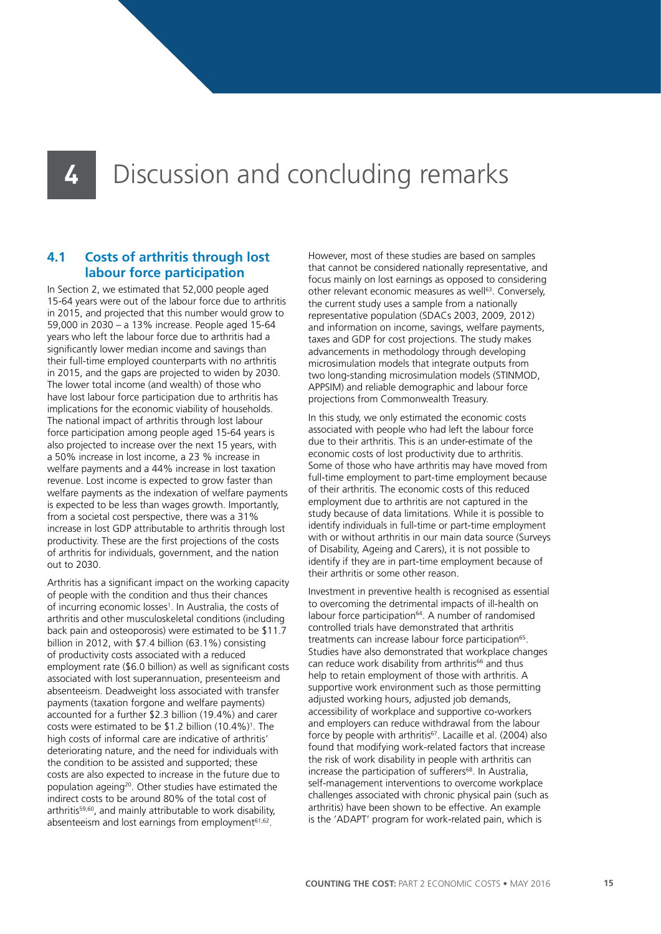### **4** Discussion and concluding remarks

### **4.1 Costs of arthritis through lost labour force participation**

In Section 2, we estimated that 52,000 people aged 15-64 years were out of the labour force due to arthritis in 2015, and projected that this number would grow to 59,000 in 2030 – a 13% increase. People aged 15-64 years who left the labour force due to arthritis had a significantly lower median income and savings than their full-time employed counterparts with no arthritis in 2015, and the gaps are projected to widen by 2030. The lower total income (and wealth) of those who have lost labour force participation due to arthritis has implications for the economic viability of households. The national impact of arthritis through lost labour force participation among people aged 15-64 years is also projected to increase over the next 15 years, with a 50% increase in lost income, a 23 % increase in welfare payments and a 44% increase in lost taxation revenue. Lost income is expected to grow faster than welfare payments as the indexation of welfare payments is expected to be less than wages growth. Importantly, from a societal cost perspective, there was a 31% increase in lost GDP attributable to arthritis through lost productivity. These are the first projections of the costs of arthritis for individuals, government, and the nation out to 2030.

Arthritis has a significant impact on the working capacity of people with the condition and thus their chances of incurring economic losses<sup>1</sup>. In Australia, the costs of arthritis and other musculoskeletal conditions (including back pain and osteoporosis) were estimated to be \$11.7 billion in 2012, with \$7.4 billion (63.1%) consisting of productivity costs associated with a reduced employment rate (\$6.0 billion) as well as significant costs associated with lost superannuation, presenteeism and absenteeism. Deadweight loss associated with transfer payments (taxation forgone and welfare payments) accounted for a further \$2.3 billion (19.4%) and carer costs were estimated to be  $$1.2$  billion  $(10.4\%)$ <sup>1</sup>. The high costs of informal care are indicative of arthritis' deteriorating nature, and the need for individuals with the condition to be assisted and supported; these costs are also expected to increase in the future due to population ageing<sup>20</sup>. Other studies have estimated the indirect costs to be around 80% of the total cost of arthritis59,60, and mainly attributable to work disability, absenteeism and lost earnings from employment<sup>61,62</sup>.

However, most of these studies are based on samples that cannot be considered nationally representative, and focus mainly on lost earnings as opposed to considering other relevant economic measures as well<sup>63</sup>. Conversely, the current study uses a sample from a nationally representative population (SDACs 2003, 2009, 2012) and information on income, savings, welfare payments, taxes and GDP for cost projections. The study makes advancements in methodology through developing microsimulation models that integrate outputs from two long-standing microsimulation models (STINMOD, APPSIM) and reliable demographic and labour force projections from Commonwealth Treasury.

In this study, we only estimated the economic costs associated with people who had left the labour force due to their arthritis. This is an under-estimate of the economic costs of lost productivity due to arthritis. Some of those who have arthritis may have moved from full-time employment to part-time employment because of their arthritis. The economic costs of this reduced employment due to arthritis are not captured in the study because of data limitations. While it is possible to identify individuals in full-time or part-time employment with or without arthritis in our main data source (Surveys of Disability, Ageing and Carers), it is not possible to identify if they are in part-time employment because of their arthritis or some other reason.

Investment in preventive health is recognised as essential to overcoming the detrimental impacts of ill-health on labour force participation<sup>64</sup>. A number of randomised controlled trials have demonstrated that arthritis treatments can increase labour force participation<sup>65</sup>. Studies have also demonstrated that workplace changes can reduce work disability from arthritis<sup>66</sup> and thus help to retain employment of those with arthritis. A supportive work environment such as those permitting adjusted working hours, adjusted job demands, accessibility of workplace and supportive co-workers and employers can reduce withdrawal from the labour force by people with arthritis<sup>67</sup>. Lacaille et al. (2004) also found that modifying work-related factors that increase the risk of work disability in people with arthritis can increase the participation of sufferers<sup>68</sup>. In Australia, self-management interventions to overcome workplace challenges associated with chronic physical pain (such as arthritis) have been shown to be effective. An example is the 'ADAPT' program for work-related pain, which is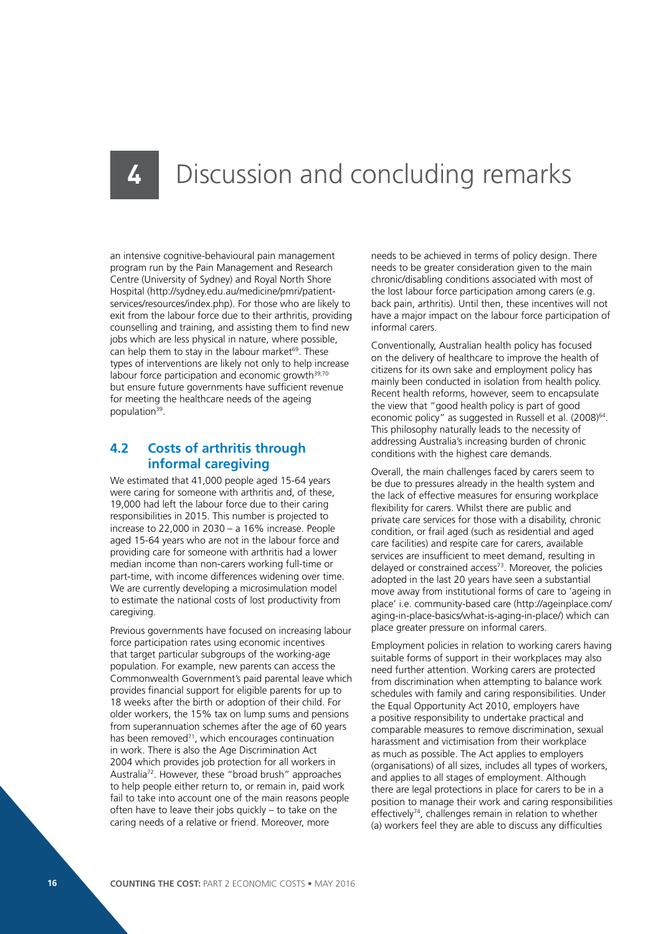### Discussion and concluding remarks

an intensive cognitive-behavioural pain management program run by the Pain Management and Research Centre (University of Sydney) and Royal North Shore Hospital (http://sydney.edu.au/medicine/pmri/patientservices/resources/index.php). For those who are likely to exit from the labour force due to their arthritis, providing counselling and training, and assisting them to find new jobs which are less physical in nature, where possible, can help them to stay in the labour market<sup>69</sup>. These types of interventions are likely not only to help increase labour force participation and economic growth<sup>39,70</sup> but ensure future governments have sufficient revenue for meeting the healthcare needs of the ageing population39.

### **4.2 Costs of arthritis through informal caregiving**

We estimated that 41,000 people aged 15-64 years were caring for someone with arthritis and, of these, 19,000 had left the labour force due to their caring responsibilities in 2015. This number is projected to increase to 22,000 in 2030 – a 16% increase. People aged 15-64 years who are not in the labour force and providing care for someone with arthritis had a lower median income than non-carers working full-time or part-time, with income differences widening over time. We are currently developing a microsimulation model to estimate the national costs of lost productivity from caregiving.

Previous governments have focused on increasing labour force participation rates using economic incentives that target particular subgroups of the working-age population. For example, new parents can access the Commonwealth Government's paid parental leave which provides financial support for eligible parents for up to 18 weeks after the birth or adoption of their child. For older workers, the 15% tax on lump sums and pensions from superannuation schemes after the age of 60 years has been removed<sup>71</sup>, which encourages continuation in work. There is also the Age Discrimination Act 2004 which provides job protection for all workers in Australia72. However, these "broad brush" approaches to help people either return to, or remain in, paid work fail to take into account one of the main reasons people often have to leave their jobs quickly – to take on the caring needs of a relative or friend. Moreover, more

needs to be achieved in terms of policy design. There needs to be greater consideration given to the main chronic/disabling conditions associated with most of the lost labour force participation among carers (e.g. back pain, arthritis). Until then, these incentives will not have a major impact on the labour force participation of informal carers.

Conventionally, Australian health policy has focused on the delivery of healthcare to improve the health of citizens for its own sake and employment policy has mainly been conducted in isolation from health policy. Recent health reforms, however, seem to encapsulate the view that "good health policy is part of good economic policy" as suggested in Russell et al. (2008)<sup>64</sup>. This philosophy naturally leads to the necessity of addressing Australia's increasing burden of chronic conditions with the highest care demands.

Overall, the main challenges faced by carers seem to be due to pressures already in the health system and the lack of effective measures for ensuring workplace flexibility for carers. Whilst there are public and private care services for those with a disability, chronic condition, or frail aged (such as residential and aged care facilities) and respite care for carers, available services are insufficient to meet demand, resulting in delayed or constrained access $73$ . Moreover, the policies adopted in the last 20 years have seen a substantial move away from institutional forms of care to 'ageing in place' i.e. community-based care (http://ageinplace.com/ aging-in-place-basics/what-is-aging-in-place/) which can place greater pressure on informal carers.

Employment policies in relation to working carers having suitable forms of support in their workplaces may also need further attention. Working carers are protected from discrimination when attempting to balance work schedules with family and caring responsibilities. Under the Equal Opportunity Act 2010, employers have a positive responsibility to undertake practical and comparable measures to remove discrimination, sexual harassment and victimisation from their workplace as much as possible. The Act applies to employers (organisations) of all sizes, includes all types of workers, and applies to all stages of employment. Although there are legal protections in place for carers to be in a position to manage their work and caring responsibilities effectively<sup>74</sup>, challenges remain in relation to whether (a) workers feel they are able to discuss any difficulties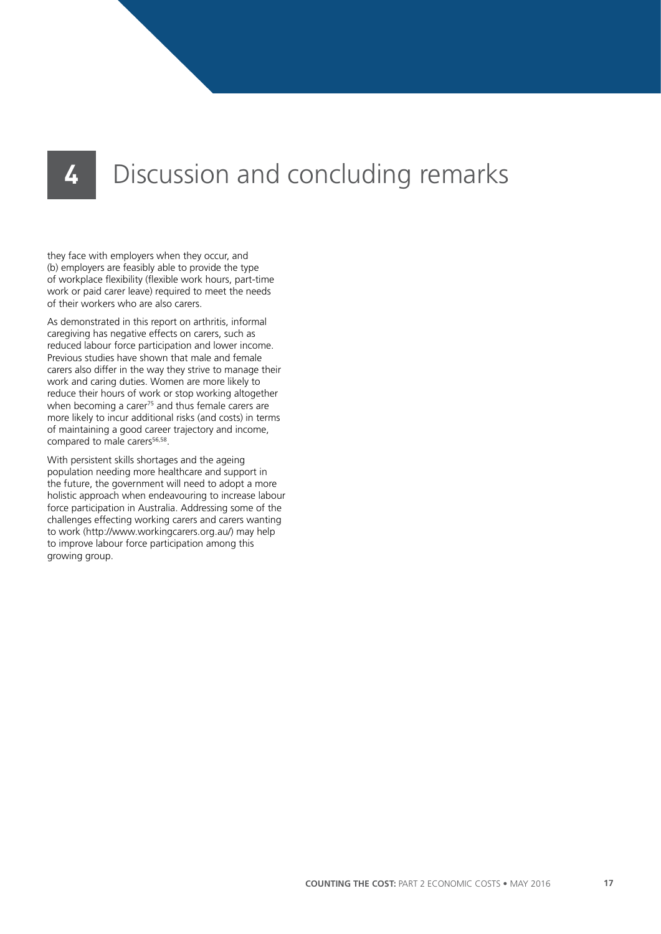## **4** Discussion and concluding remarks

they face with employers when they occur, and (b) employers are feasibly able to provide the type of workplace flexibility (flexible work hours, part-time work or paid carer leave) required to meet the needs of their workers who are also carers.

As demonstrated in this report on arthritis, informal caregiving has negative effects on carers, such as reduced labour force participation and lower income. Previous studies have shown that male and female carers also differ in the way they strive to manage their work and caring duties. Women are more likely to reduce their hours of work or stop working altogether when becoming a carer<sup>75</sup> and thus female carers are more likely to incur additional risks (and costs) in terms of maintaining a good career trajectory and income, compared to male carers<sup>56,58</sup>.

With persistent skills shortages and the ageing population needing more healthcare and support in the future, the government will need to adopt a more holistic approach when endeavouring to increase labour force participation in Australia. Addressing some of the challenges effecting working carers and carers wanting to work (http://www.workingcarers.org.au/) may help to improve labour force participation among this growing group.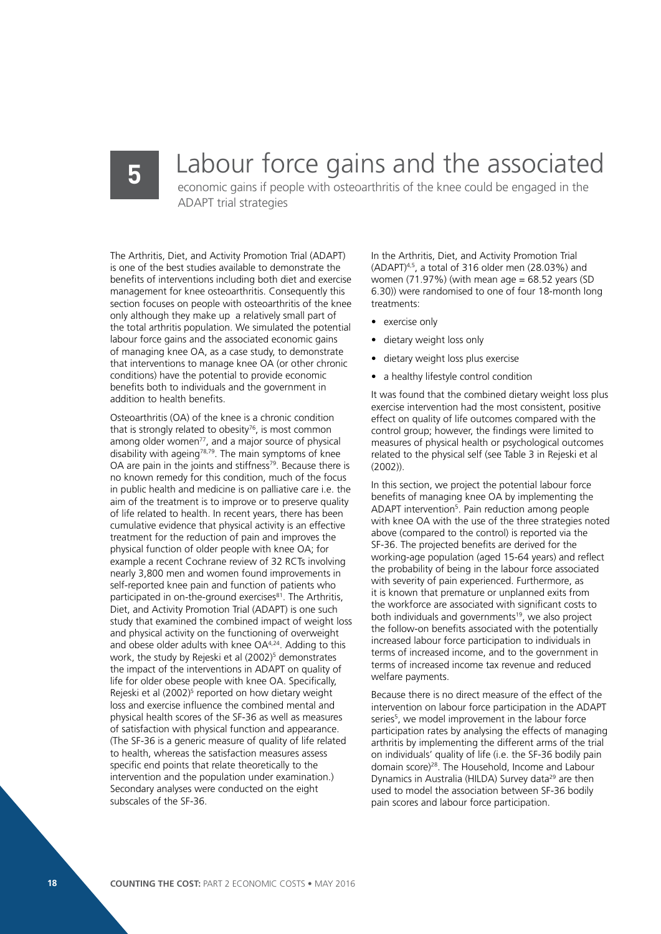## **5** Labour force gains and the associated

economic gains if people with osteoarthritis of the knee could be engaged in the ADAPT trial strategies

The Arthritis, Diet, and Activity Promotion Trial (ADAPT) is one of the best studies available to demonstrate the benefits of interventions including both diet and exercise management for knee osteoarthritis. Consequently this section focuses on people with osteoarthritis of the knee only although they make up a relatively small part of the total arthritis population. We simulated the potential labour force gains and the associated economic gains of managing knee OA, as a case study, to demonstrate that interventions to manage knee OA (or other chronic conditions) have the potential to provide economic benefits both to individuals and the government in addition to health benefits.

Osteoarthritis (OA) of the knee is a chronic condition that is strongly related to obesity $76$ , is most common among older women<sup>77</sup>, and a major source of physical disability with ageing<sup>78,79</sup>. The main symptoms of knee OA are pain in the joints and stiffness<sup>79</sup>. Because there is no known remedy for this condition, much of the focus in public health and medicine is on palliative care i.e. the aim of the treatment is to improve or to preserve quality of life related to health. In recent years, there has been cumulative evidence that physical activity is an effective treatment for the reduction of pain and improves the physical function of older people with knee OA; for example a recent Cochrane review of 32 RCTs involving nearly 3,800 men and women found improvements in self-reported knee pain and function of patients who participated in on-the-ground exercises<sup>81</sup>. The Arthritis, Diet, and Activity Promotion Trial (ADAPT) is one such study that examined the combined impact of weight loss and physical activity on the functioning of overweight and obese older adults with knee OA4,24. Adding to this work, the study by Rejeski et al (2002)<sup>5</sup> demonstrates the impact of the interventions in ADAPT on quality of life for older obese people with knee OA. Specifically, Rejeski et al (2002)<sup>5</sup> reported on how dietary weight loss and exercise influence the combined mental and physical health scores of the SF-36 as well as measures of satisfaction with physical function and appearance. (The SF-36 is a generic measure of quality of life related to health, whereas the satisfaction measures assess specific end points that relate theoretically to the intervention and the population under examination.) Secondary analyses were conducted on the eight subscales of the SF-36.

In the Arthritis, Diet, and Activity Promotion Trial  $(ADAPT)^{4,5}$ , a total of 316 older men  $(28.03%)$  and women  $(71.97%)$  (with mean age = 68.52 years (SD 6.30)) were randomised to one of four 18-month long treatments:

- exercise only
- dietary weight loss only
- dietary weight loss plus exercise
- a healthy lifestyle control condition

It was found that the combined dietary weight loss plus exercise intervention had the most consistent, positive effect on quality of life outcomes compared with the control group; however, the findings were limited to measures of physical health or psychological outcomes related to the physical self (see Table 3 in Rejeski et al (2002)).

In this section, we project the potential labour force benefits of managing knee OA by implementing the ADAPT intervention<sup>5</sup>. Pain reduction among people with knee OA with the use of the three strategies noted above (compared to the control) is reported via the SF-36. The projected benefits are derived for the working-age population (aged 15-64 years) and reflect the probability of being in the labour force associated with severity of pain experienced. Furthermore, as it is known that premature or unplanned exits from the workforce are associated with significant costs to both individuals and governments<sup>19</sup>, we also project the follow-on benefits associated with the potentially increased labour force participation to individuals in terms of increased income, and to the government in terms of increased income tax revenue and reduced welfare payments.

Because there is no direct measure of the effect of the intervention on labour force participation in the ADAPT series<sup>5</sup>, we model improvement in the labour force participation rates by analysing the effects of managing arthritis by implementing the different arms of the trial on individuals' quality of life (i.e. the SF-36 bodily pain domain score)28. The Household, Income and Labour Dynamics in Australia (HILDA) Survey data<sup>29</sup> are then used to model the association between SF-36 bodily pain scores and labour force participation.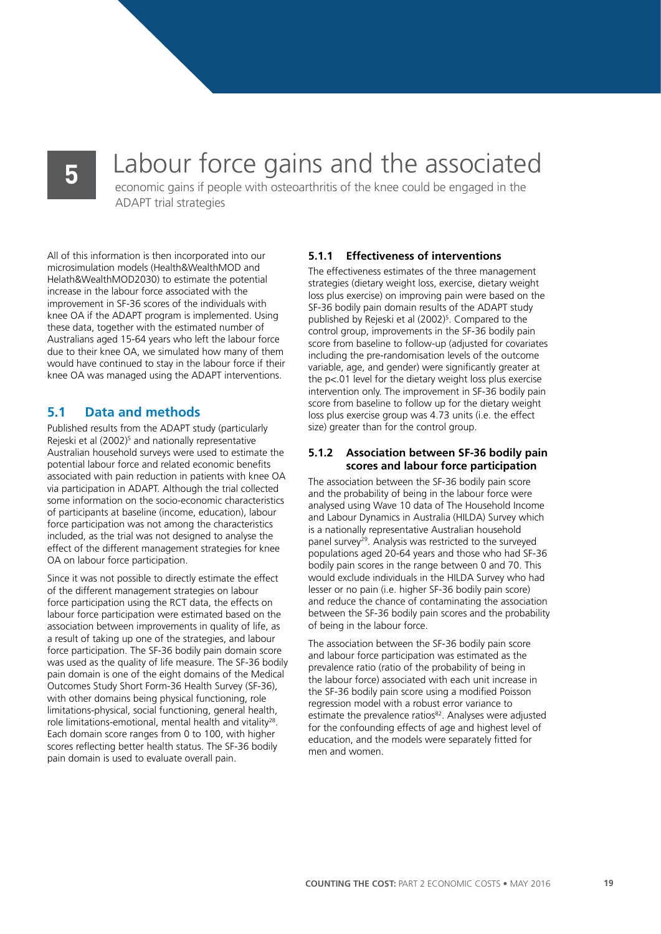# **5** Labour force gains and the associated economic gains if people with osteoarthritis of the knee could be engaged in the

ADAPT trial strategies

All of this information is then incorporated into our microsimulation models (Health&WealthMOD and Helath&WealthMOD2030) to estimate the potential increase in the labour force associated with the improvement in SF-36 scores of the individuals with knee OA if the ADAPT program is implemented. Using these data, together with the estimated number of Australians aged 15-64 years who left the labour force due to their knee OA, we simulated how many of them would have continued to stay in the labour force if their knee OA was managed using the ADAPT interventions.

### **5.1 Data and methods**

Published results from the ADAPT study (particularly Rejeski et al (2002)<sup>5</sup> and nationally representative Australian household surveys were used to estimate the potential labour force and related economic benefits associated with pain reduction in patients with knee OA via participation in ADAPT. Although the trial collected some information on the socio-economic characteristics of participants at baseline (income, education), labour force participation was not among the characteristics included, as the trial was not designed to analyse the effect of the different management strategies for knee OA on labour force participation.

Since it was not possible to directly estimate the effect of the different management strategies on labour force participation using the RCT data, the effects on labour force participation were estimated based on the association between improvements in quality of life, as a result of taking up one of the strategies, and labour force participation. The SF-36 bodily pain domain score was used as the quality of life measure. The SF-36 bodily pain domain is one of the eight domains of the Medical Outcomes Study Short Form-36 Health Survey (SF-36), with other domains being physical functioning, role limitations-physical, social functioning, general health, role limitations-emotional, mental health and vitality28. Each domain score ranges from 0 to 100, with higher scores reflecting better health status. The SF-36 bodily pain domain is used to evaluate overall pain.

#### **5.1.1 Effectiveness of interventions**

The effectiveness estimates of the three management strategies (dietary weight loss, exercise, dietary weight loss plus exercise) on improving pain were based on the SF-36 bodily pain domain results of the ADAPT study published by Rejeski et al (2002)<sup>5</sup>. Compared to the control group, improvements in the SF-36 bodily pain score from baseline to follow-up (adjusted for covariates including the pre-randomisation levels of the outcome variable, age, and gender) were significantly greater at the p<.01 level for the dietary weight loss plus exercise intervention only. The improvement in SF-36 bodily pain score from baseline to follow up for the dietary weight loss plus exercise group was 4.73 units (i.e. the effect size) greater than for the control group.

#### **5.1.2 Association between SF-36 bodily pain scores and labour force participation**

The association between the SF-36 bodily pain score and the probability of being in the labour force were analysed using Wave 10 data of The Household Income and Labour Dynamics in Australia (HILDA) Survey which is a nationally representative Australian household panel survey29. Analysis was restricted to the surveyed populations aged 20-64 years and those who had SF-36 bodily pain scores in the range between 0 and 70. This would exclude individuals in the HILDA Survey who had lesser or no pain (i.e. higher SF-36 bodily pain score) and reduce the chance of contaminating the association between the SF-36 bodily pain scores and the probability of being in the labour force.

The association between the SF-36 bodily pain score and labour force participation was estimated as the prevalence ratio (ratio of the probability of being in the labour force) associated with each unit increase in the SF-36 bodily pain score using a modified Poisson regression model with a robust error variance to estimate the prevalence ratios<sup>82</sup>. Analyses were adjusted for the confounding effects of age and highest level of education, and the models were separately fitted for men and women.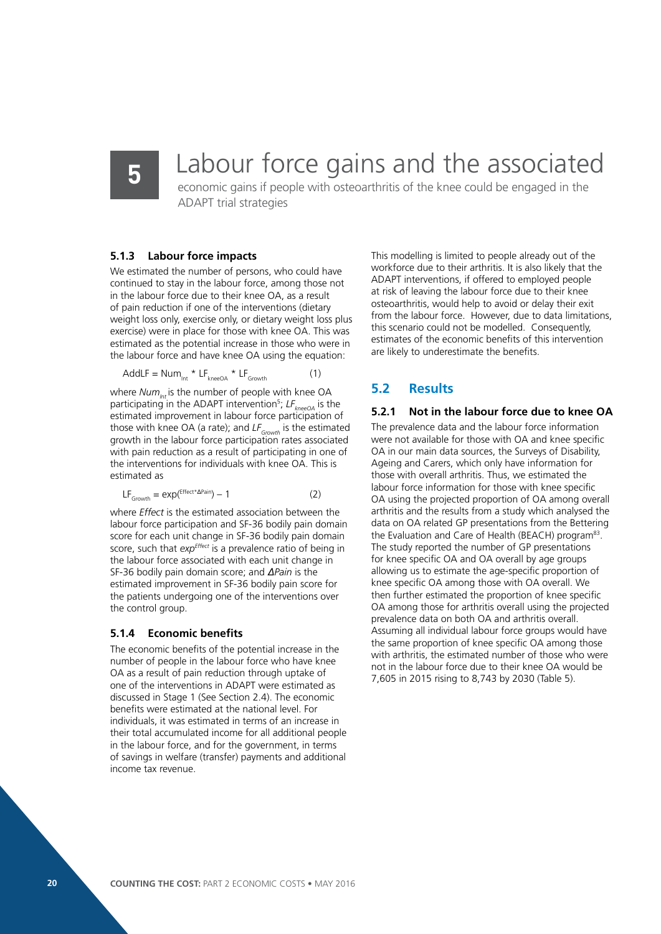### Labour force gains and the associated

economic gains if people with osteoarthritis of the knee could be engaged in the ADAPT trial strategies

#### **5.1.3 Labour force impacts**

We estimated the number of persons, who could have continued to stay in the labour force, among those not in the labour force due to their knee OA, as a result of pain reduction if one of the interventions (dietary weight loss only, exercise only, or dietary weight loss plus exercise) were in place for those with knee OA. This was estimated as the potential increase in those who were in the labour force and have knee OA using the equation:

$$
AddLF = Num_{int} * LF_{kneeOA} * LF_{Growth} \tag{1}
$$

where *Num<sub>Int</sub>* is the number of people with knee OA participating in the ADAPT intervention<sup>5</sup>; LF<sub>kneeOA</sub> is the estimated improvement in labour force participation of those with knee OA (a rate); and LF<sub>Growth</sub> is the estimated growth in the labour force participation rates associated with pain reduction as a result of participating in one of the interventions for individuals with knee OA. This is estimated as

$$
LF_{Growth} = \exp(\text{effect}^* \Delta \text{Pair}) - 1 \tag{2}
$$

where *Effect* is the estimated association between the labour force participation and SF-36 bodily pain domain score for each unit change in SF-36 bodily pain domain score, such that *exp<sup>effect</sup>* is a prevalence ratio of being in the labour force associated with each unit change in SF-36 bodily pain domain score; and *ΔPain* is the estimated improvement in SF-36 bodily pain score for the patients undergoing one of the interventions over the control group.

#### **5.1.4 Economic benefits**

The economic benefits of the potential increase in the number of people in the labour force who have knee OA as a result of pain reduction through uptake of one of the interventions in ADAPT were estimated as discussed in Stage 1 (See Section 2.4). The economic benefits were estimated at the national level. For individuals, it was estimated in terms of an increase in their total accumulated income for all additional people in the labour force, and for the government, in terms of savings in welfare (transfer) payments and additional income tax revenue.

This modelling is limited to people already out of the workforce due to their arthritis. It is also likely that the ADAPT interventions, if offered to employed people at risk of leaving the labour force due to their knee osteoarthritis, would help to avoid or delay their exit from the labour force. However, due to data limitations, this scenario could not be modelled. Consequently, estimates of the economic benefits of this intervention are likely to underestimate the benefits.

### **5.2 Results**

### **5.2.1 Not in the labour force due to knee OA**

The prevalence data and the labour force information were not available for those with OA and knee specific OA in our main data sources, the Surveys of Disability, Ageing and Carers, which only have information for those with overall arthritis. Thus, we estimated the labour force information for those with knee specific OA using the projected proportion of OA among overall arthritis and the results from a study which analysed the data on OA related GP presentations from the Bettering the Evaluation and Care of Health (BEACH) program<sup>83</sup>. The study reported the number of GP presentations for knee specific OA and OA overall by age groups allowing us to estimate the age-specific proportion of knee specific OA among those with OA overall. We then further estimated the proportion of knee specific OA among those for arthritis overall using the projected prevalence data on both OA and arthritis overall. Assuming all individual labour force groups would have the same proportion of knee specific OA among those with arthritis, the estimated number of those who were not in the labour force due to their knee OA would be 7,605 in 2015 rising to 8,743 by 2030 (Table 5).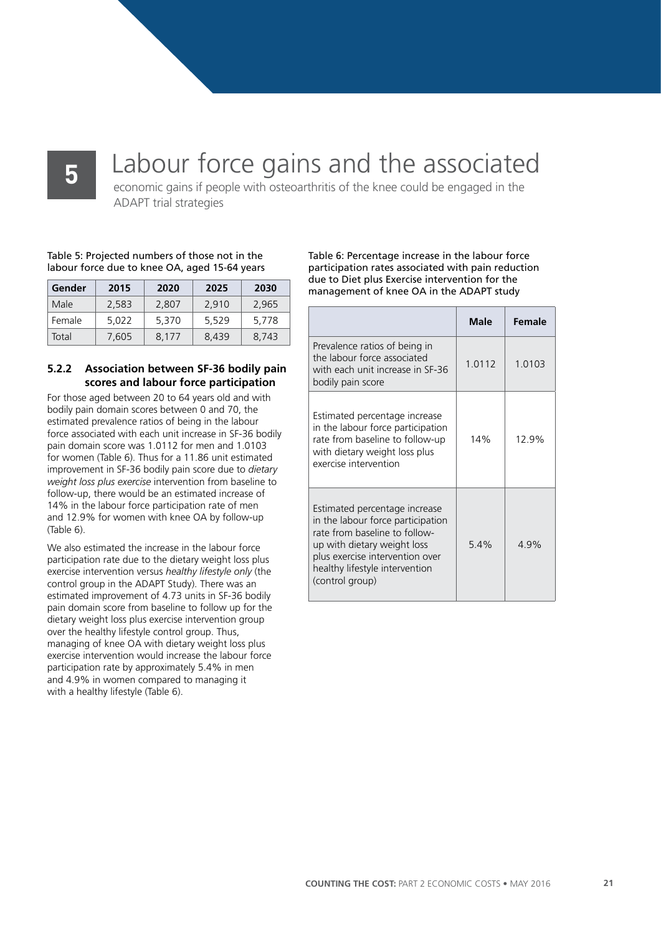## Labour force gains and the associated

economic gains if people with osteoarthritis of the knee could be engaged in the ADAPT trial strategies

Table 5: Projected numbers of those not in the labour force due to knee OA, aged 15-64 years

| Gender | 2015  | 2020  | 2025  | 2030  |
|--------|-------|-------|-------|-------|
| Male   | 2.583 | 2.807 | 2.910 | 2.965 |
| Female | 5.022 | 5.370 | 5.529 | 5.778 |
| Total  | 7.605 | 8.177 | 8.439 | 8.743 |

#### **5.2.2 Association between SF-36 bodily pain scores and labour force participation**

For those aged between 20 to 64 years old and with bodily pain domain scores between 0 and 70, the estimated prevalence ratios of being in the labour force associated with each unit increase in SF-36 bodily pain domain score was 1.0112 for men and 1.0103 for women (Table 6). Thus for a 11.86 unit estimated improvement in SF-36 bodily pain score due to *dietary weight loss plus exercise* intervention from baseline to follow-up, there would be an estimated increase of 14% in the labour force participation rate of men and 12.9% for women with knee OA by follow-up (Table 6).

We also estimated the increase in the labour force participation rate due to the dietary weight loss plus exercise intervention versus *healthy lifestyle only* (the control group in the ADAPT Study). There was an estimated improvement of 4.73 units in SF-36 bodily pain domain score from baseline to follow up for the dietary weight loss plus exercise intervention group over the healthy lifestyle control group. Thus, managing of knee OA with dietary weight loss plus exercise intervention would increase the labour force participation rate by approximately 5.4% in men and 4.9% in women compared to managing it with a healthy lifestyle (Table 6).

Table 6: Percentage increase in the labour force participation rates associated with pain reduction due to Diet plus Exercise intervention for the management of knee OA in the ADAPT study

|                                                                                                                                                                                                                            | Male   | Female    |
|----------------------------------------------------------------------------------------------------------------------------------------------------------------------------------------------------------------------------|--------|-----------|
| Prevalence ratios of being in<br>the labour force associated<br>with each unit increase in SF-36<br>bodily pain score                                                                                                      | 1.0112 | 1 0 1 0 3 |
| Estimated percentage increase<br>in the labour force participation<br>rate from baseline to follow-up<br>with dietary weight loss plus<br>exercise intervention                                                            | 14%    | 12 ዓ%     |
| Estimated percentage increase<br>in the labour force participation<br>rate from baseline to follow-<br>up with dietary weight loss<br>plus exercise intervention over<br>healthy lifestyle intervention<br>(control group) | 54%    | 4.9%      |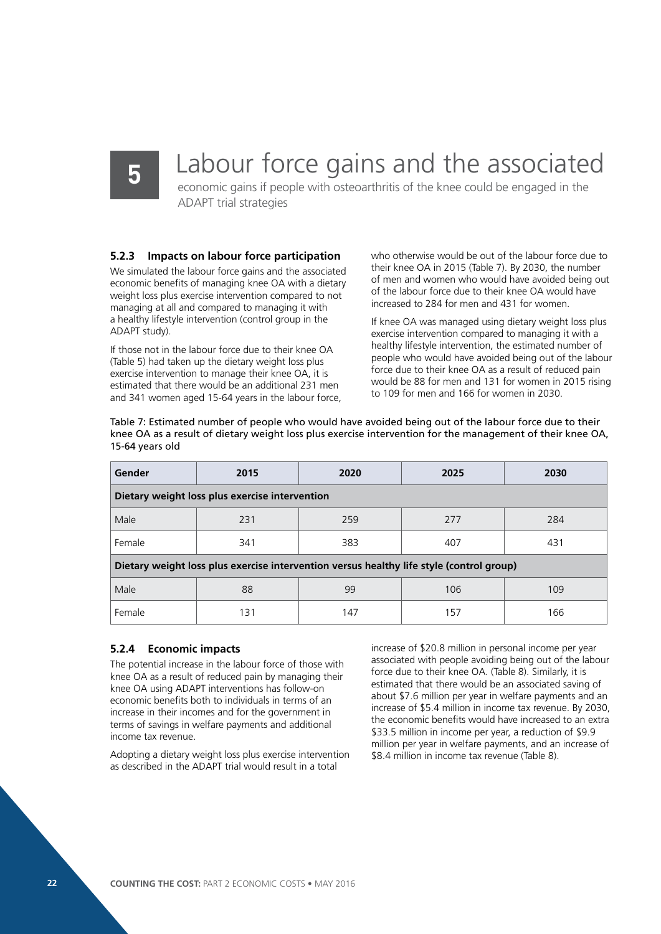### Labour force gains and the associated

economic gains if people with osteoarthritis of the knee could be engaged in the ADAPT trial strategies

#### **5.2.3 Impacts on labour force participation**

We simulated the labour force gains and the associated economic benefits of managing knee OA with a dietary weight loss plus exercise intervention compared to not managing at all and compared to managing it with a healthy lifestyle intervention (control group in the ADAPT study).

If those not in the labour force due to their knee OA (Table 5) had taken up the dietary weight loss plus exercise intervention to manage their knee OA, it is estimated that there would be an additional 231 men and 341 women aged 15-64 years in the labour force,

who otherwise would be out of the labour force due to their knee OA in 2015 (Table 7). By 2030, the number of men and women who would have avoided being out of the labour force due to their knee OA would have increased to 284 for men and 431 for women.

If knee OA was managed using dietary weight loss plus exercise intervention compared to managing it with a healthy lifestyle intervention, the estimated number of people who would have avoided being out of the labour force due to their knee OA as a result of reduced pain would be 88 for men and 131 for women in 2015 rising to 109 for men and 166 for women in 2030.

Table 7: Estimated number of people who would have avoided being out of the labour force due to their knee OA as a result of dietary weight loss plus exercise intervention for the management of their knee OA, 15-64 years old

| Gender                                                                                   | 2015                                           | 2020 | 2025 | 2030 |  |  |  |  |  |  |
|------------------------------------------------------------------------------------------|------------------------------------------------|------|------|------|--|--|--|--|--|--|
|                                                                                          | Dietary weight loss plus exercise intervention |      |      |      |  |  |  |  |  |  |
| Male                                                                                     | 231                                            | 259  | 277  | 284  |  |  |  |  |  |  |
| Female<br>341                                                                            |                                                | 383  | 407  | 431  |  |  |  |  |  |  |
| Dietary weight loss plus exercise intervention versus healthy life style (control group) |                                                |      |      |      |  |  |  |  |  |  |
| Male                                                                                     | 88                                             | 99   | 106  | 109  |  |  |  |  |  |  |
| Female                                                                                   | 131                                            | 147  | 157  | 166  |  |  |  |  |  |  |

#### **5.2.4 Economic impacts**

The potential increase in the labour force of those with knee OA as a result of reduced pain by managing their knee OA using ADAPT interventions has follow-on economic benefits both to individuals in terms of an increase in their incomes and for the government in terms of savings in welfare payments and additional income tax revenue.

Adopting a dietary weight loss plus exercise intervention as described in the ADAPT trial would result in a total

increase of \$20.8 million in personal income per year associated with people avoiding being out of the labour force due to their knee OA. (Table 8). Similarly, it is estimated that there would be an associated saving of about \$7.6 million per year in welfare payments and an increase of \$5.4 million in income tax revenue. By 2030, the economic benefits would have increased to an extra \$33.5 million in income per year, a reduction of \$9.9 million per year in welfare payments, and an increase of \$8.4 million in income tax revenue (Table 8).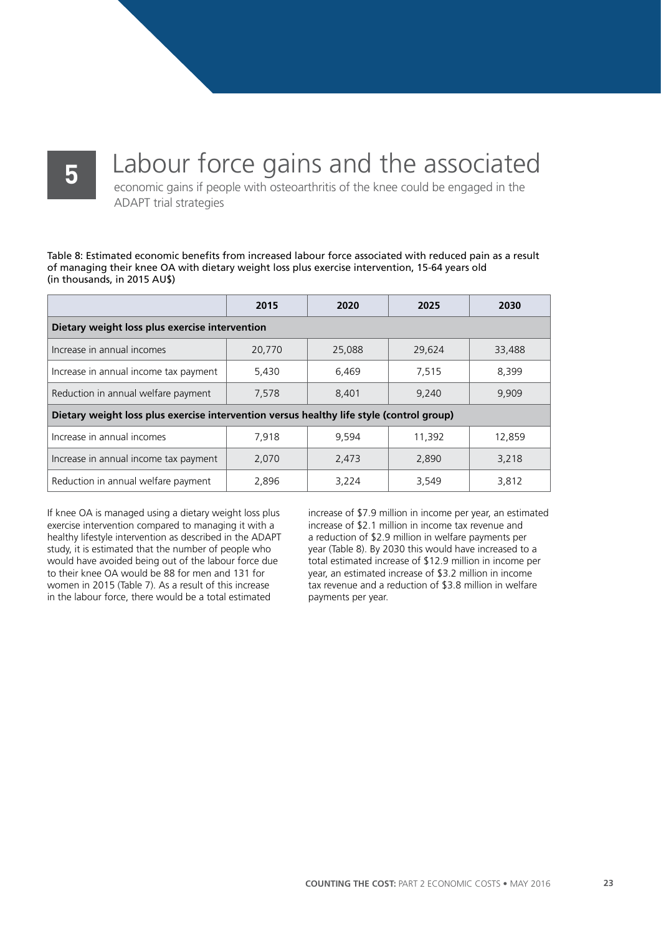### Labour force gains and the associated

economic gains if people with osteoarthritis of the knee could be engaged in the ADAPT trial strategies

Table 8: Estimated economic benefits from increased labour force associated with reduced pain as a result of managing their knee OA with dietary weight loss plus exercise intervention, 15-64 years old (in thousands, in 2015 AU\$)

|                                                                                          | 2015   | 2020   | 2025   | 2030   |
|------------------------------------------------------------------------------------------|--------|--------|--------|--------|
| Dietary weight loss plus exercise intervention                                           |        |        |        |        |
| Increase in annual incomes                                                               | 20,770 | 25,088 | 29,624 | 33,488 |
| Increase in annual income tax payment                                                    | 5.430  | 6.469  | 7.515  | 8.399  |
| Reduction in annual welfare payment                                                      | 7.578  | 8,401  | 9.240  | 9.909  |
| Dietary weight loss plus exercise intervention versus healthy life style (control group) |        |        |        |        |
| Increase in annual incomes                                                               | 7.918  | 9.594  | 11,392 | 12.859 |
| Increase in annual income tax payment                                                    | 2,070  | 2,473  | 2,890  | 3.218  |
| Reduction in annual welfare payment                                                      | 2,896  | 3,224  | 3,549  | 3,812  |

If knee OA is managed using a dietary weight loss plus exercise intervention compared to managing it with a healthy lifestyle intervention as described in the ADAPT study, it is estimated that the number of people who would have avoided being out of the labour force due to their knee OA would be 88 for men and 131 for women in 2015 (Table 7). As a result of this increase in the labour force, there would be a total estimated

increase of \$7.9 million in income per year, an estimated increase of \$2.1 million in income tax revenue and a reduction of \$2.9 million in welfare payments per year (Table 8). By 2030 this would have increased to a total estimated increase of \$12.9 million in income per year, an estimated increase of \$3.2 million in income tax revenue and a reduction of \$3.8 million in welfare payments per year.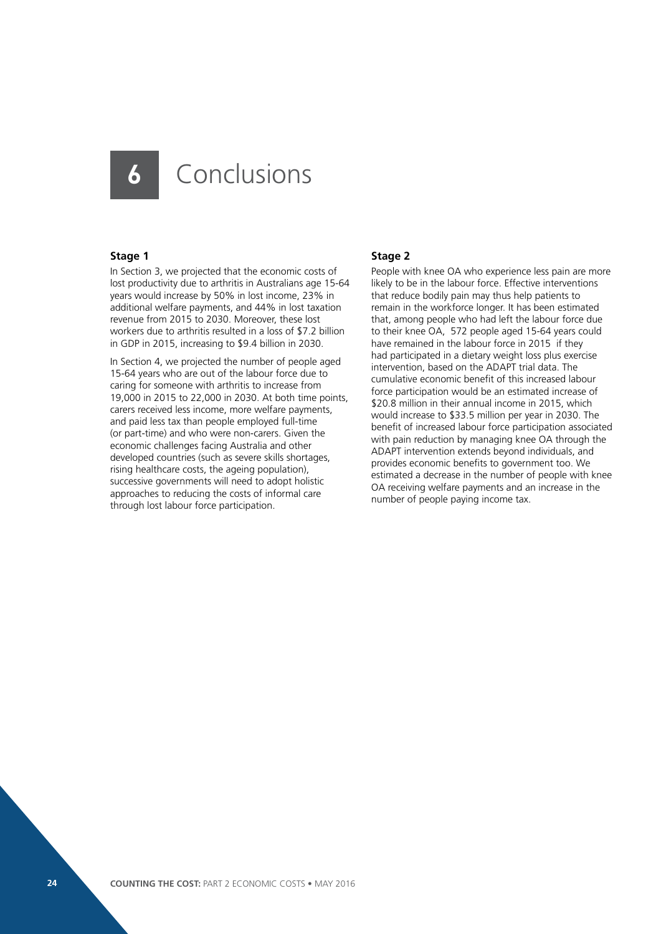### **6** Conclusions

### **Stage 1**

In Section 3, we projected that the economic costs of lost productivity due to arthritis in Australians age 15-64 years would increase by 50% in lost income, 23% in additional welfare payments, and 44% in lost taxation revenue from 2015 to 2030. Moreover, these lost workers due to arthritis resulted in a loss of \$7.2 billion in GDP in 2015, increasing to \$9.4 billion in 2030.

In Section 4, we projected the number of people aged 15-64 years who are out of the labour force due to caring for someone with arthritis to increase from 19,000 in 2015 to 22,000 in 2030. At both time points, carers received less income, more welfare payments, and paid less tax than people employed full-time (or part-time) and who were non-carers. Given the economic challenges facing Australia and other developed countries (such as severe skills shortages, rising healthcare costs, the ageing population), successive governments will need to adopt holistic approaches to reducing the costs of informal care through lost labour force participation.

#### **Stage 2**

People with knee OA who experience less pain are more likely to be in the labour force. Effective interventions that reduce bodily pain may thus help patients to remain in the workforce longer. It has been estimated that, among people who had left the labour force due to their knee OA, 572 people aged 15-64 years could have remained in the labour force in 2015 if they had participated in a dietary weight loss plus exercise intervention, based on the ADAPT trial data. The cumulative economic benefit of this increased labour force participation would be an estimated increase of \$20.8 million in their annual income in 2015, which would increase to \$33.5 million per year in 2030. The benefit of increased labour force participation associated with pain reduction by managing knee OA through the ADAPT intervention extends beyond individuals, and provides economic benefits to government too. We estimated a decrease in the number of people with knee OA receiving welfare payments and an increase in the number of people paying income tax.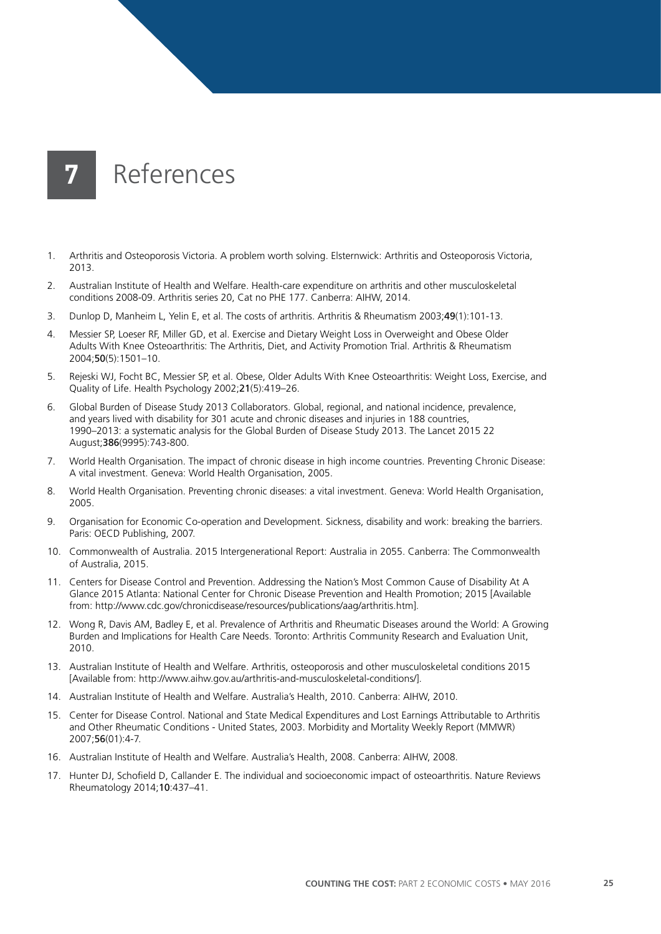

- 1. Arthritis and Osteoporosis Victoria. A problem worth solving. Elsternwick: Arthritis and Osteoporosis Victoria, 2013.
- 2. Australian Institute of Health and Welfare. Health-care expenditure on arthritis and other musculoskeletal conditions 2008-09. Arthritis series 20, Cat no PHE 177. Canberra: AIHW, 2014.
- 3. Dunlop D, Manheim L, Yelin E, et al. The costs of arthritis. Arthritis & Rheumatism 2003;49(1):101-13.
- 4. Messier SP, Loeser RF, Miller GD, et al. Exercise and Dietary Weight Loss in Overweight and Obese Older Adults With Knee Osteoarthritis: The Arthritis, Diet, and Activity Promotion Trial. Arthritis & Rheumatism 2004;50(5):1501–10.
- 5. Rejeski WJ, Focht BC, Messier SP, et al. Obese, Older Adults With Knee Osteoarthritis: Weight Loss, Exercise, and Quality of Life. Health Psychology 2002;21(5):419–26.
- 6. Global Burden of Disease Study 2013 Collaborators. Global, regional, and national incidence, prevalence, and years lived with disability for 301 acute and chronic diseases and injuries in 188 countries, 1990–2013: a systematic analysis for the Global Burden of Disease Study 2013. The Lancet 2015 22 August;386(9995):743-800.
- 7. World Health Organisation. The impact of chronic disease in high income countries. Preventing Chronic Disease: A vital investment. Geneva: World Health Organisation, 2005.
- 8. World Health Organisation. Preventing chronic diseases: a vital investment. Geneva: World Health Organisation, 2005.
- 9. Organisation for Economic Co-operation and Development. Sickness, disability and work: breaking the barriers. Paris: OECD Publishing, 2007.
- 10. Commonwealth of Australia. 2015 Intergenerational Report: Australia in 2055. Canberra: The Commonwealth of Australia, 2015.
- 11. Centers for Disease Control and Prevention. Addressing the Nation's Most Common Cause of Disability At A Glance 2015 Atlanta: National Center for Chronic Disease Prevention and Health Promotion; 2015 [Available from: http://www.cdc.gov/chronicdisease/resources/publications/aag/arthritis.htm].
- 12. Wong R, Davis AM, Badley E, et al. Prevalence of Arthritis and Rheumatic Diseases around the World: A Growing Burden and Implications for Health Care Needs. Toronto: Arthritis Community Research and Evaluation Unit, 2010.
- 13. Australian Institute of Health and Welfare. Arthritis, osteoporosis and other musculoskeletal conditions 2015 [Available from: http://www.aihw.gov.au/arthritis-and-musculoskeletal-conditions/].
- 14. Australian Institute of Health and Welfare. Australia's Health, 2010. Canberra: AIHW, 2010.
- 15. Center for Disease Control. National and State Medical Expenditures and Lost Earnings Attributable to Arthritis and Other Rheumatic Conditions - United States, 2003. Morbidity and Mortality Weekly Report (MMWR) 2007;56(01):4-7.
- 16. Australian Institute of Health and Welfare. Australia's Health, 2008. Canberra: AIHW, 2008.
- 17. Hunter DJ, Schofield D, Callander E. The individual and socioeconomic impact of osteoarthritis. Nature Reviews Rheumatology 2014;10:437–41.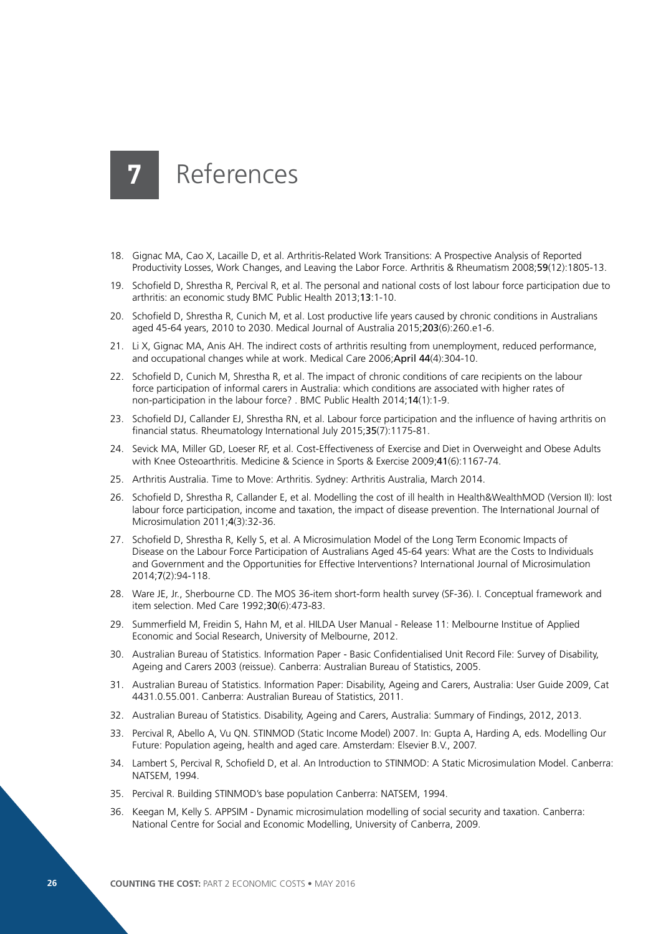- 18. Gignac MA, Cao X, Lacaille D, et al. Arthritis-Related Work Transitions: A Prospective Analysis of Reported Productivity Losses, Work Changes, and Leaving the Labor Force. Arthritis & Rheumatism 2008;59(12):1805-13.
- 19. Schofield D, Shrestha R, Percival R, et al. The personal and national costs of lost labour force participation due to arthritis: an economic study BMC Public Health 2013;13:1-10.
- 20. Schofield D, Shrestha R, Cunich M, et al. Lost productive life years caused by chronic conditions in Australians aged 45-64 years, 2010 to 2030. Medical Journal of Australia 2015;203(6):260.e1-6.
- 21. Li X, Gignac MA, Anis AH. The indirect costs of arthritis resulting from unemployment, reduced performance, and occupational changes while at work. Medical Care 2006;April 44(4):304-10.
- 22. Schofield D, Cunich M, Shrestha R, et al. The impact of chronic conditions of care recipients on the labour force participation of informal carers in Australia: which conditions are associated with higher rates of non-participation in the labour force? . BMC Public Health 2014;14(1):1-9.
- 23. Schofield DJ, Callander EJ, Shrestha RN, et al. Labour force participation and the influence of having arthritis on financial status. Rheumatology International July 2015;35(7):1175-81.
- 24. Sevick MA, Miller GD, Loeser RF, et al. Cost-Effectiveness of Exercise and Diet in Overweight and Obese Adults with Knee Osteoarthritis. Medicine & Science in Sports & Exercise 2009;41(6):1167-74.
- 25. Arthritis Australia. Time to Move: Arthritis. Sydney: Arthritis Australia, March 2014.
- 26. Schofield D, Shrestha R, Callander E, et al. Modelling the cost of ill health in Health&WealthMOD (Version II): lost labour force participation, income and taxation, the impact of disease prevention. The International Journal of Microsimulation 2011;4(3):32-36.
- 27. Schofield D, Shrestha R, Kelly S, et al. A Microsimulation Model of the Long Term Economic Impacts of Disease on the Labour Force Participation of Australians Aged 45-64 years: What are the Costs to Individuals and Government and the Opportunities for Effective Interventions? International Journal of Microsimulation 2014;7(2):94-118.
- 28. Ware JE, Jr., Sherbourne CD. The MOS 36-item short-form health survey (SF-36). I. Conceptual framework and item selection. Med Care 1992;30(6):473-83.
- 29. Summerfield M, Freidin S, Hahn M, et al. HILDA User Manual Release 11: Melbourne Institue of Applied Economic and Social Research, University of Melbourne, 2012.
- 30. Australian Bureau of Statistics. Information Paper Basic Confidentialised Unit Record File: Survey of Disability, Ageing and Carers 2003 (reissue). Canberra: Australian Bureau of Statistics, 2005.
- 31. Australian Bureau of Statistics. Information Paper: Disability, Ageing and Carers, Australia: User Guide 2009, Cat 4431.0.55.001. Canberra: Australian Bureau of Statistics, 2011.
- 32. Australian Bureau of Statistics. Disability, Ageing and Carers, Australia: Summary of Findings, 2012, 2013.
- 33. Percival R, Abello A, Vu QN. STINMOD (Static Income Model) 2007. In: Gupta A, Harding A, eds. Modelling Our Future: Population ageing, health and aged care. Amsterdam: Elsevier B.V., 2007.
- 34. Lambert S, Percival R, Schofield D, et al. An Introduction to STINMOD: A Static Microsimulation Model. Canberra: NATSEM, 1994.
- 35. Percival R. Building STINMOD's base population Canberra: NATSEM, 1994.
- 36. Keegan M, Kelly S. APPSIM Dynamic microsimulation modelling of social security and taxation. Canberra: National Centre for Social and Economic Modelling, University of Canberra, 2009.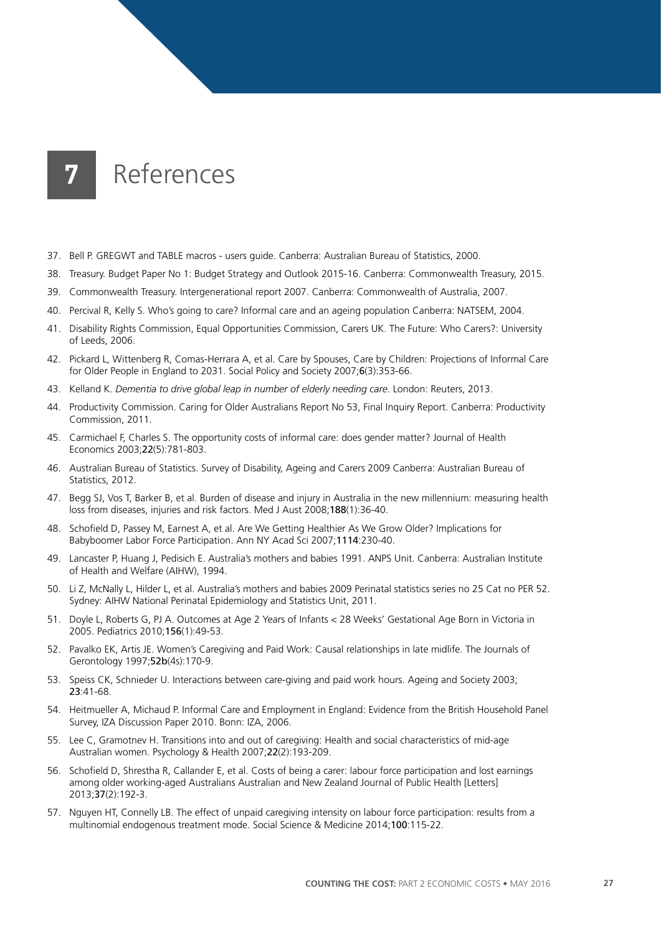- 37. Bell P. GREGWT and TABLE macros users guide. Canberra: Australian Bureau of Statistics, 2000.
- 38. Treasury. Budget Paper No 1: Budget Strategy and Outlook 2015-16. Canberra: Commonwealth Treasury, 2015.
- 39. Commonwealth Treasury. Intergenerational report 2007. Canberra: Commonwealth of Australia, 2007.
- 40. Percival R, Kelly S. Who's going to care? Informal care and an ageing population Canberra: NATSEM, 2004.
- 41. Disability Rights Commission, Equal Opportunities Commission, Carers UK. The Future: Who Carers?: University of Leeds, 2006.
- 42. Pickard L, Wittenberg R, Comas-Herrara A, et al. Care by Spouses, Care by Children: Projections of Informal Care for Older People in England to 2031. Social Policy and Society 2007;6(3):353-66.
- 43. Kelland K. *Dementia to drive global leap in number of elderly needing care*. London: Reuters, 2013.
- 44. Productivity Commission. Caring for Older Australians Report No 53, Final Inquiry Report. Canberra: Productivity Commission, 2011.
- 45. Carmichael F, Charles S. The opportunity costs of informal care: does gender matter? Journal of Health Economics 2003;22(5):781-803.
- 46. Australian Bureau of Statistics. Survey of Disability, Ageing and Carers 2009 Canberra: Australian Bureau of Statistics, 2012.
- 47. Begg SJ, Vos T, Barker B, et al. Burden of disease and injury in Australia in the new millennium: measuring health loss from diseases, injuries and risk factors. Med J Aust 2008;188(1):36-40.
- 48. Schofield D, Passey M, Earnest A, et al. Are We Getting Healthier As We Grow Older? Implications for Babyboomer Labor Force Participation. Ann NY Acad Sci 2007;1114:230-40.
- 49. Lancaster P, Huang J, Pedisich E. Australia's mothers and babies 1991. ANPS Unit. Canberra: Australian Institute of Health and Welfare (AIHW), 1994.
- 50. Li Z, McNally L, Hilder L, et al. Australia's mothers and babies 2009 Perinatal statistics series no 25 Cat no PER 52. Sydney: AIHW National Perinatal Epidemiology and Statistics Unit, 2011.
- 51. Doyle L, Roberts G, PJ A. Outcomes at Age 2 Years of Infants < 28 Weeks' Gestational Age Born in Victoria in 2005. Pediatrics 2010;156(1):49-53.
- 52. Pavalko EK, Artis JE. Women's Caregiving and Paid Work: Causal relationships in late midlife. The Journals of Gerontology 1997;52b(4s):170-9.
- 53. Speiss CK, Schnieder U. Interactions between care-giving and paid work hours. Ageing and Society 2003; 23:41-68.
- 54. Heitmueller A, Michaud P. Informal Care and Employment in England: Evidence from the British Household Panel Survey, IZA Discussion Paper 2010. Bonn: IZA, 2006.
- 55. Lee C, Gramotnev H. Transitions into and out of caregiving: Health and social characteristics of mid-age Australian women. Psychology & Health 2007;22(2):193-209.
- 56. Schofield D, Shrestha R, Callander E, et al. Costs of being a carer: labour force participation and lost earnings among older working-aged Australians Australian and New Zealand Journal of Public Health [Letters] 2013;37(2):192-3.
- 57. Nguyen HT, Connelly LB. The effect of unpaid caregiving intensity on labour force participation: results from a multinomial endogenous treatment mode. Social Science & Medicine 2014;100:115-22.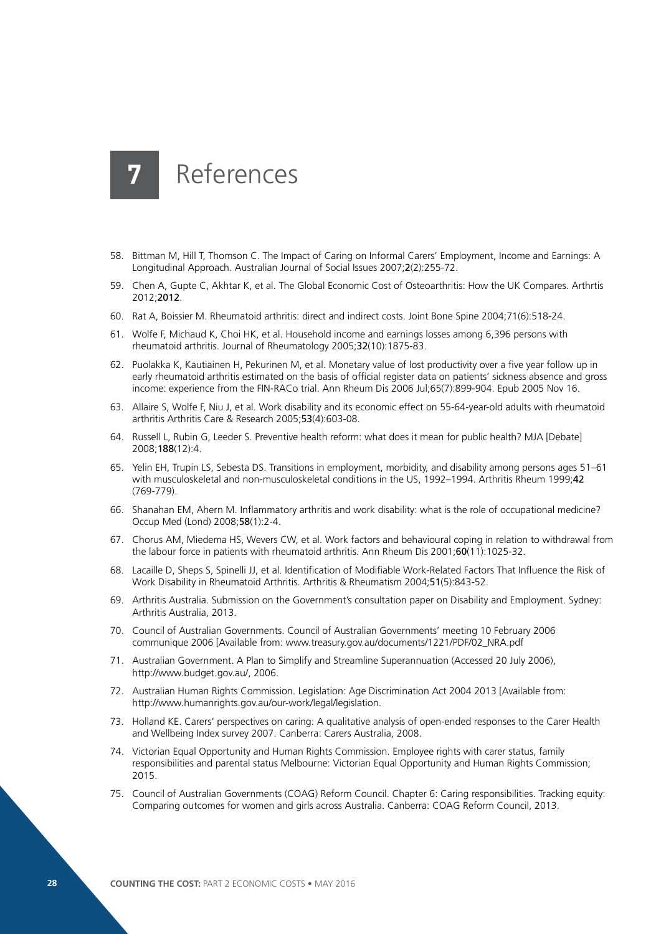- 58. Bittman M, Hill T, Thomson C. The Impact of Caring on Informal Carers' Employment, Income and Earnings: A Longitudinal Approach. Australian Journal of Social Issues 2007;2(2):255-72.
- 59. Chen A, Gupte C, Akhtar K, et al. The Global Economic Cost of Osteoarthritis: How the UK Compares. Arthrtis 2012;2012.
- 60. Rat A, Boissier M. Rheumatoid arthritis: direct and indirect costs. Joint Bone Spine 2004;71(6):518-24.
- 61. Wolfe F, Michaud K, Choi HK, et al. Household income and earnings losses among 6,396 persons with rheumatoid arthritis. Journal of Rheumatology 2005;32(10):1875-83.
- 62. Puolakka K, Kautiainen H, Pekurinen M, et al. Monetary value of lost productivity over a five year follow up in early rheumatoid arthritis estimated on the basis of official register data on patients' sickness absence and gross income: experience from the FIN-RACo trial. Ann Rheum Dis 2006 Jul;65(7):899-904. Epub 2005 Nov 16.
- 63. Allaire S, Wolfe F, Niu J, et al. Work disability and its economic effect on 55-64-year-old adults with rheumatoid arthritis Arthritis Care & Research 2005;53(4):603-08.
- 64. Russell L, Rubin G, Leeder S. Preventive health reform: what does it mean for public health? MJA [Debate] 2008;188(12):4.
- 65. Yelin EH, Trupin LS, Sebesta DS. Transitions in employment, morbidity, and disability among persons ages 51–61 with musculoskeletal and non-musculoskeletal conditions in the US, 1992-1994. Arthritis Rheum 1999;42 (769-779).
- 66. Shanahan EM, Ahern M. Inflammatory arthritis and work disability: what is the role of occupational medicine? Occup Med (Lond) 2008;58(1):2-4.
- 67. Chorus AM, Miedema HS, Wevers CW, et al. Work factors and behavioural coping in relation to withdrawal from the labour force in patients with rheumatoid arthritis. Ann Rheum Dis 2001;60(11):1025-32.
- 68. Lacaille D, Sheps S, Spinelli JJ, et al. Identification of Modifiable Work-Related Factors That Influence the Risk of Work Disability in Rheumatoid Arthritis. Arthritis & Rheumatism 2004;51(5):843-52.
- 69. Arthritis Australia. Submission on the Government's consultation paper on Disability and Employment. Sydney: Arthritis Australia, 2013.
- 70. Council of Australian Governments. Council of Australian Governments' meeting 10 February 2006 communique 2006 [Available from: www.treasury.gov.au/documents/1221/PDF/02\_NRA.pdf
- 71. Australian Government. A Plan to Simplify and Streamline Superannuation (Accessed 20 July 2006), http://www.budget.gov.au/, 2006.
- 72. Australian Human Rights Commission. Legislation: Age Discrimination Act 2004 2013 [Available from: http://www.humanrights.gov.au/our-work/legal/legislation.
- 73. Holland KE. Carers' perspectives on caring: A qualitative analysis of open-ended responses to the Carer Health and Wellbeing Index survey 2007. Canberra: Carers Australia, 2008.
- 74. Victorian Equal Opportunity and Human Rights Commission. Employee rights with carer status, family responsibilities and parental status Melbourne: Victorian Equal Opportunity and Human Rights Commission; 2015.
- 75. Council of Australian Governments (COAG) Reform Council. Chapter 6: Caring responsibilities. Tracking equity: Comparing outcomes for women and girls across Australia. Canberra: COAG Reform Council, 2013.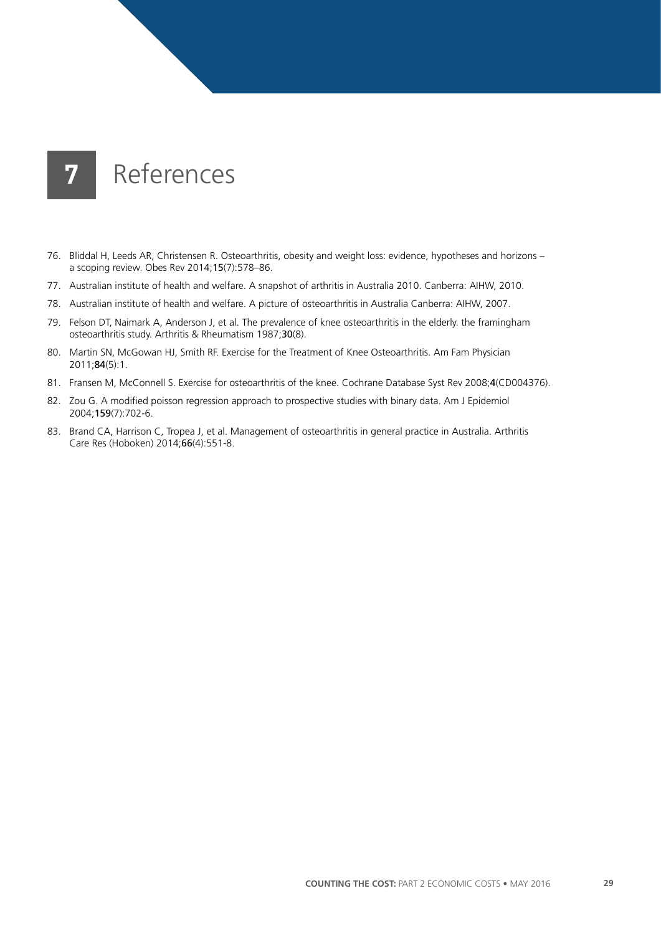- 76. Bliddal H, Leeds AR, Christensen R. Osteoarthritis, obesity and weight loss: evidence, hypotheses and horizons a scoping review. Obes Rev 2014;15(7):578–86.
- 77. Australian institute of health and welfare. A snapshot of arthritis in Australia 2010. Canberra: AIHW, 2010.
- 78. Australian institute of health and welfare. A picture of osteoarthritis in Australia Canberra: AIHW, 2007.
- 79. Felson DT, Naimark A, Anderson J, et al. The prevalence of knee osteoarthritis in the elderly. the framingham osteoarthritis study. Arthritis & Rheumatism 1987;30(8).
- 80. Martin SN, McGowan HJ, Smith RF. Exercise for the Treatment of Knee Osteoarthritis. Am Fam Physician 2011;84(5):1.
- 81. Fransen M, McConnell S. Exercise for osteoarthritis of the knee. Cochrane Database Syst Rev 2008;4(CD004376).
- 82. Zou G. A modified poisson regression approach to prospective studies with binary data. Am J Epidemiol 2004;159(7):702-6.
- 83. Brand CA, Harrison C, Tropea J, et al. Management of osteoarthritis in general practice in Australia. Arthritis Care Res (Hoboken) 2014;66(4):551-8.